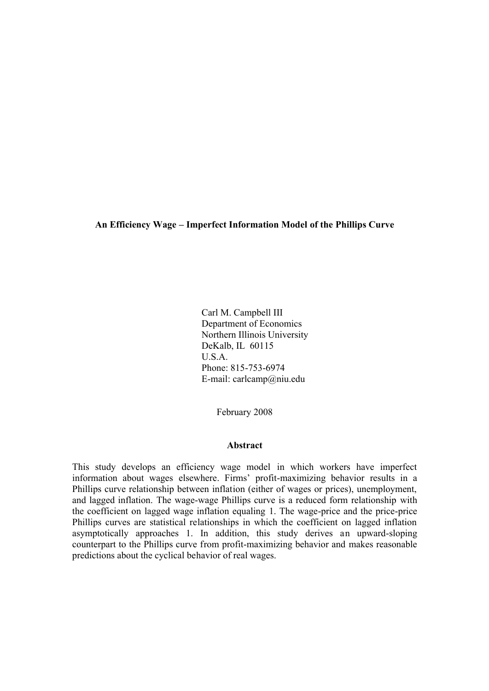**An Efficiency Wage – Imperfect Information Model of the Phillips Curve**

Carl M. Campbell III Department of Economics Northern Illinois University DeKalb, IL 60115 U.S.A. Phone: 815-753-6974 E-mail: carlcamp@niu.edu

February 2008

## **Abstract**

This study develops an efficiency wage model in which workers have imperfect information about wages elsewhere. Firms' profit-maximizing behavior results in a Phillips curve relationship between inflation (either of wages or prices), unemployment, and lagged inflation. The wage-wage Phillips curve is a reduced form relationship with the coefficient on lagged wage inflation equaling 1. The wage-price and the price-price Phillips curves are statistical relationships in which the coefficient on lagged inflation asymptotically approaches 1. In addition, this study derives an upward-sloping counterpart to the Phillips curve from profit-maximizing behavior and makes reasonable predictions about the cyclical behavior of real wages.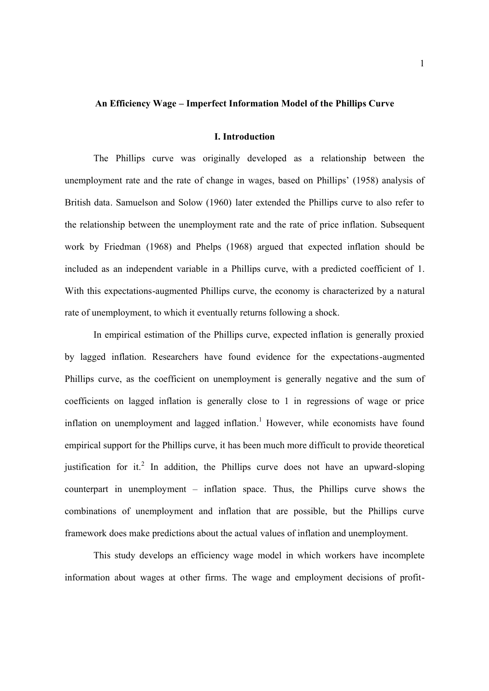#### **An Efficiency Wage – Imperfect Information Model of the Phillips Curve**

#### **I. Introduction**

The Phillips curve was originally developed as a relationship between the unemployment rate and the rate of change in wages, based on Phillips' (1958) analysis of British data. Samuelson and Solow (1960) later extended the Phillips curve to also refer to the relationship between the unemployment rate and the rate of price inflation. Subsequent work by Friedman (1968) and Phelps (1968) argued that expected inflation should be included as an independent variable in a Phillips curve, with a predicted coefficient of 1. With this expectations-augmented Phillips curve, the economy is characterized by a natural rate of unemployment, to which it eventually returns following a shock.

In empirical estimation of the Phillips curve, expected inflation is generally proxied by lagged inflation. Researchers have found evidence for the expectations-augmented Phillips curve, as the coefficient on unemployment is generally negative and the sum of coefficients on lagged inflation is generally close to 1 in regressions of wage or price inflation on unemployment and lagged inflation.<sup>1</sup> However, while economists have found empirical support for the Phillips curve, it has been much more difficult to provide theoretical justification for it.<sup>2</sup> In addition, the Phillips curve does not have an upward-sloping counterpart in unemployment – inflation space. Thus, the Phillips curve shows the combinations of unemployment and inflation that are possible, but the Phillips curve framework does make predictions about the actual values of inflation and unemployment.

This study develops an efficiency wage model in which workers have incomplete information about wages at other firms. The wage and employment decisions of profit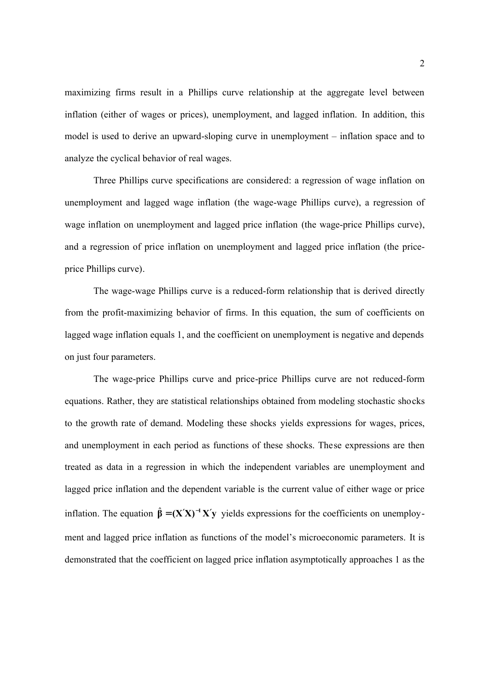maximizing firms result in a Phillips curve relationship at the aggregate level between inflation (either of wages or prices), unemployment, and lagged inflation. In addition, this model is used to derive an upward-sloping curve in unemployment – inflation space and to analyze the cyclical behavior of real wages.

Three Phillips curve specifications are considered: a regression of wage inflation on unemployment and lagged wage inflation (the wage-wage Phillips curve), a regression of wage inflation on unemployment and lagged price inflation (the wage-price Phillips curve), and a regression of price inflation on unemployment and lagged price inflation (the priceprice Phillips curve).

The wage-wage Phillips curve is a reduced-form relationship that is derived directly from the profit-maximizing behavior of firms. In this equation, the sum of coefficients on lagged wage inflation equals 1, and the coefficient on unemployment is negative and depends on just four parameters.

The wage-price Phillips curve and price-price Phillips curve are not reduced-form equations. Rather, they are statistical relationships obtained from modeling stochastic shocks to the growth rate of demand. Modeling these shocks yields expressions for wages, prices, and unemployment in each period as functions of these shocks. These expressions are then treated as data in a regression in which the independent variables are unemployment and lagged price inflation and the dependent variable is the current value of either wage or price inflation. The equation  $\hat{\beta} = (X'X)^{-1}X'y$  yields expressions for the coefficients on unemployment and lagged price inflation as functions of the model's microeconomic parameters. It is demonstrated that the coefficient on lagged price inflation asymptotically approaches 1 as the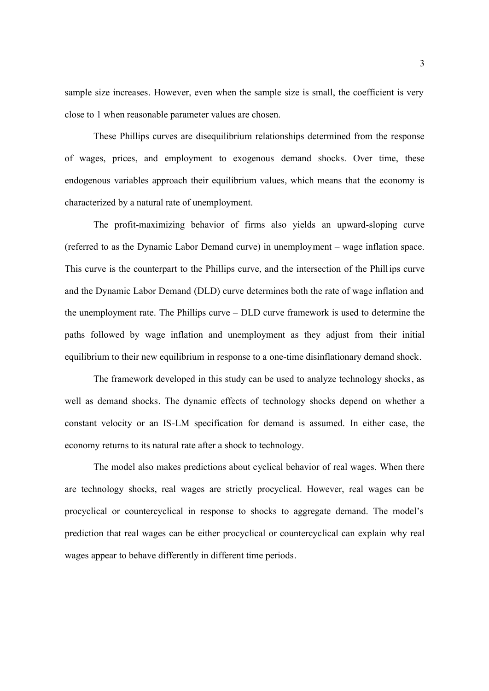sample size increases. However, even when the sample size is small, the coefficient is very close to 1 when reasonable parameter values are chosen.

These Phillips curves are disequilibrium relationships determined from the response of wages, prices, and employment to exogenous demand shocks. Over time, these endogenous variables approach their equilibrium values, which means that the economy is characterized by a natural rate of unemployment.

The profit-maximizing behavior of firms also yields an upward-sloping curve (referred to as the Dynamic Labor Demand curve) in unemployment – wage inflation space. This curve is the counterpart to the Phillips curve, and the intersection of the Phillips curve and the Dynamic Labor Demand (DLD) curve determines both the rate of wage inflation and the unemployment rate. The Phillips curve – DLD curve framework is used to determine the paths followed by wage inflation and unemployment as they adjust from their initial equilibrium to their new equilibrium in response to a one-time disinflationary demand shock.

The framework developed in this study can be used to analyze technology shocks, as well as demand shocks. The dynamic effects of technology shocks depend on whether a constant velocity or an IS-LM specification for demand is assumed. In either case, the economy returns to its natural rate after a shock to technology.

The model also makes predictions about cyclical behavior of real wages. When there are technology shocks, real wages are strictly procyclical. However, real wages can be procyclical or countercyclical in response to shocks to aggregate demand. The model's prediction that real wages can be either procyclical or countercyclical can explain why real wages appear to behave differently in different time periods.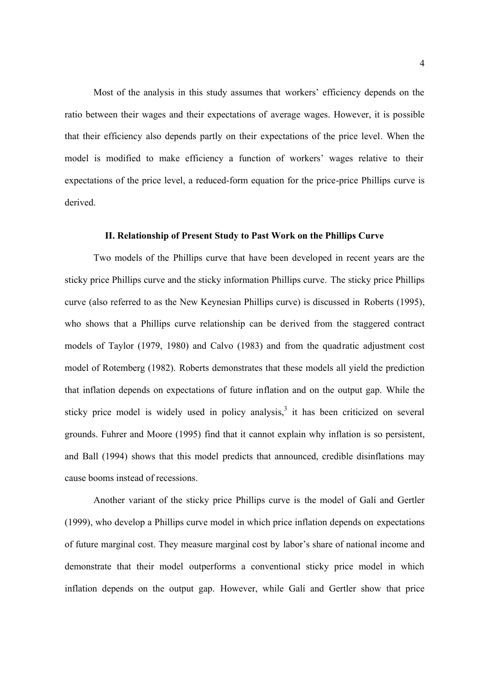Most of the analysis in this study assumes that workers' efficiency depends on the ratio between their wages and their expectations of average wages. However, it is possible that their efficiency also depends partly on their expectations of the price level. When the model is modified to make efficiency a function of workers' wages relative to their expectations of the price level, a reduced-form equation for the price-price Phillips curve is derived.

# **II. Relationship of Present Study to Past Work on the Phillips Curve**

Two models of the Phillips curve that have been developed in recent years are the sticky price Phillips curve and the sticky information Phillips curve. The sticky price Phillips curve (also referred to as the New Keynesian Phillips curve) is discussed in Roberts (1995), who shows that a Phillips curve relationship can be derived from the staggered contract models of Taylor (1979, 1980) and Calvo (1983) and from the quadratic adjustment cost model of Rotemberg (1982). Roberts demonstrates that these models all yield the prediction that inflation depends on expectations of future inflation and on the output gap. While the sticky price model is widely used in policy analysis, $3$  it has been criticized on several grounds. Fuhrer and Moore (1995) find that it cannot explain why inflation is so persistent, and Ball (1994) shows that this model predicts that announced, credible disinflations may cause booms instead of recessions.

Another variant of the sticky price Phillips curve is the model of Galí and Gertler (1999), who develop a Phillips curve model in which price inflation depends on expectations of future marginal cost. They measure marginal cost by labor's share of national income and demonstrate that their model outperforms a conventional sticky price model in which inflation depends on the output gap. However, while Galí and Gertler show that price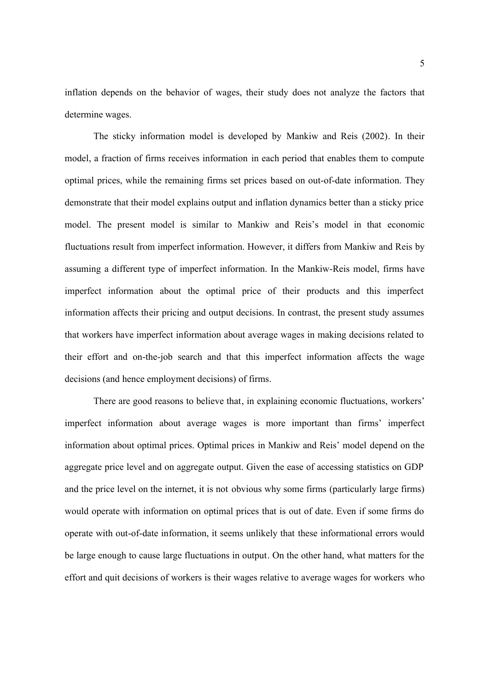inflation depends on the behavior of wages, their study does not analyze the factors that determine wages.

The sticky information model is developed by Mankiw and Reis (2002). In their model, a fraction of firms receives information in each period that enables them to compute optimal prices, while the remaining firms set prices based on out-of-date information. They demonstrate that their model explains output and inflation dynamics better than a sticky price model. The present model is similar to Mankiw and Reis's model in that economic fluctuations result from imperfect information. However, it differs from Mankiw and Reis by assuming a different type of imperfect information. In the Mankiw-Reis model, firms have imperfect information about the optimal price of their products and this imperfect information affects their pricing and output decisions. In contrast, the present study assumes that workers have imperfect information about average wages in making decisions related to their effort and on-the-job search and that this imperfect information affects the wage decisions (and hence employment decisions) of firms.

There are good reasons to believe that, in explaining economic fluctuations, workers' imperfect information about average wages is more important than firms' imperfect information about optimal prices. Optimal prices in Mankiw and Reis' model depend on the aggregate price level and on aggregate output. Given the ease of accessing statistics on GDP and the price level on the internet, it is not obvious why some firms (particularly large firms) would operate with information on optimal prices that is out of date. Even if some firms do operate with out-of-date information, it seems unlikely that these informational errors would be large enough to cause large fluctuations in output. On the other hand, what matters for the effort and quit decisions of workers is their wages relative to average wages for workers who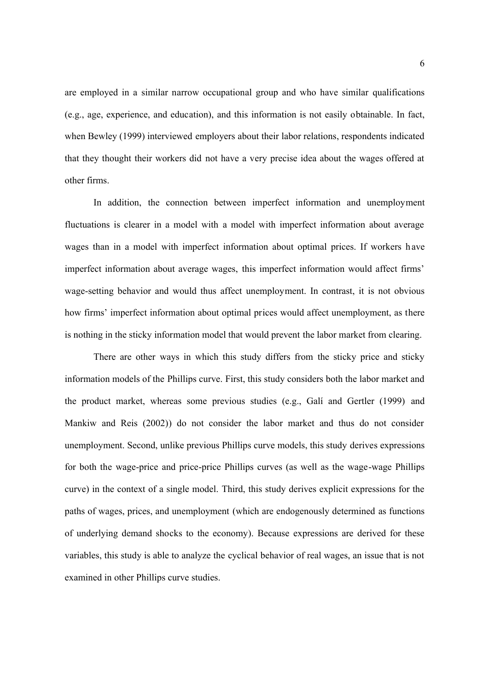are employed in a similar narrow occupational group and who have similar qualifications (e.g., age, experience, and education), and this information is not easily obtainable. In fact, when Bewley (1999) interviewed employers about their labor relations, respondents indicated that they thought their workers did not have a very precise idea about the wages offered at other firms.

In addition, the connection between imperfect information and unemployment fluctuations is clearer in a model with a model with imperfect information about average wages than in a model with imperfect information about optimal prices. If workers have imperfect information about average wages, this imperfect information would affect firms' wage-setting behavior and would thus affect unemployment. In contrast, it is not obvious how firms' imperfect information about optimal prices would affect unemployment, as there is nothing in the sticky information model that would prevent the labor market from clearing.

There are other ways in which this study differs from the sticky price and sticky information models of the Phillips curve. First, this study considers both the labor market and the product market, whereas some previous studies (e.g., Galí and Gertler (1999) and Mankiw and Reis (2002)) do not consider the labor market and thus do not consider unemployment. Second, unlike previous Phillips curve models, this study derives expressions for both the wage-price and price-price Phillips curves (as well as the wage-wage Phillips curve) in the context of a single model. Third, this study derives explicit expressions for the paths of wages, prices, and unemployment (which are endogenously determined as functions of underlying demand shocks to the economy). Because expressions are derived for these variables, this study is able to analyze the cyclical behavior of real wages, an issue that is not examined in other Phillips curve studies.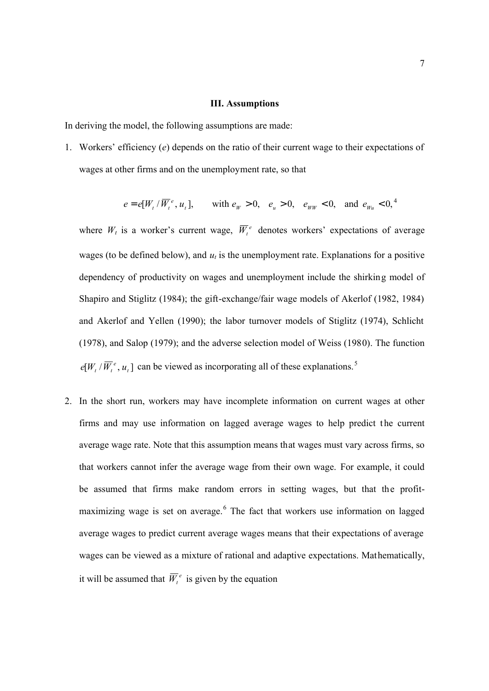#### **III. Assumptions**

In deriving the model, the following assumptions are made:

1. Workers' efficiency (*e*) depends on the ratio of their current wage to their expectations of wages at other firms and on the unemployment rate, so that

$$
e = e[W_t / \overline{W}_t^e, u_t],
$$
 with  $e_W > 0$ ,  $e_u > 0$ ,  $e_{WW} < 0$ , and  $e_{W_u} < 0$ ,

where  $W_t$  is a worker's current wage,  $\overline{W}_t^e$  denotes workers' expectations of average wages (to be defined below), and  $u_t$  is the unemployment rate. Explanations for a positive dependency of productivity on wages and unemployment include the shirking model of Shapiro and Stiglitz (1984); the gift-exchange/fair wage models of Akerlof (1982, 1984) and Akerlof and Yellen (1990); the labor turnover models of Stiglitz (1974), Schlicht (1978), and Salop (1979); and the adverse selection model of Weiss (1980). The function  $e[W_t / \overline{W}_t^e, u_t]$  can be viewed as incorporating all of these explanations.<sup>5</sup>

2. In the short run, workers may have incomplete information on current wages at other firms and may use information on lagged average wages to help predict the current average wage rate. Note that this assumption means that wages must vary across firms, so that workers cannot infer the average wage from their own wage. For example, it could be assumed that firms make random errors in setting wages, but that the profitmaximizing wage is set on average.<sup>6</sup> The fact that workers use information on lagged average wages to predict current average wages means that their expectations of average wages can be viewed as a mixture of rational and adaptive expectations. Mathematically, it will be assumed that  $\overline{W}_t^e$  is given by the equation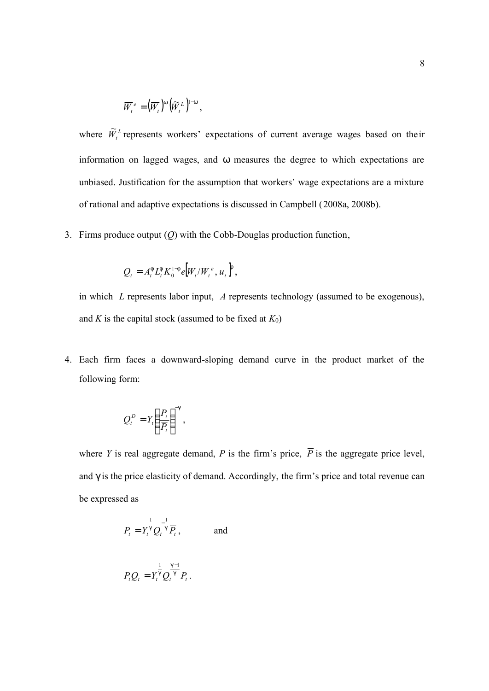$$
\overline{W}_t^e = \left(\overline{W}_t\right)^{\mathsf{w}} \left(\widetilde{W}_t^L\right)^{\mathsf{1}-\mathsf{w}},
$$

where  $\widetilde{W}_{t}^{L}$  represents workers' expectations of current average wages based on their information on lagged wages, and *w* measures the degree to which expectations are unbiased. Justification for the assumption that workers' wage expectations are a mixture of rational and adaptive expectations is discussed in Campbell (2008a, 2008b).

3. Firms produce output (*Q*) with the Cobb-Douglas production function,

$$
Q_t = A_t^{\dagger} L_t^{\dagger} K_0^{1-\dagger} e \left[ W_t / \overline{W}_t^e, u_t \right]^{\dagger},
$$

in which *L* represents labor input, *A* represents technology (assumed to be exogenous), and *K* is the capital stock (assumed to be fixed at  $K_0$ )

4. Each firm faces a downward-sloping demand curve in the product market of the following form:

$$
Q_t^D = Y_t \left(\frac{P_t}{\overline{P_t}}\right)^{-g},
$$

where *Y* is real aggregate demand, *P* is the firm's price,  $\overline{P}$  is the aggregate price level, and *g* is the price elasticity of demand. Accordingly, the firm's price and total revenue can be expressed as

$$
P_t = Y_t^{\frac{1}{9}} Q_t^{-\frac{1}{9}} \overline{P}_t, \qquad \text{and}
$$

$$
P_t Q_t = Y_t^{\frac{1}{9}} Q_t^{\frac{9}{9} - 1} \overline{P}_t.
$$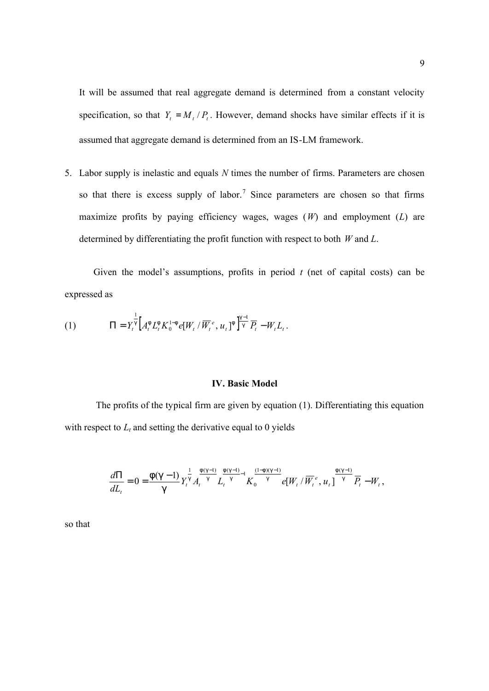It will be assumed that real aggregate demand is determined from a constant velocity specification, so that  $Y_t = M_t / P_t$ . However, demand shocks have similar effects if it is assumed that aggregate demand is determined from an IS-LM framework.

5. Labor supply is inelastic and equals *N* times the number of firms. Parameters are chosen so that there is excess supply of labor.<sup>7</sup> Since parameters are chosen so that firms maximize profits by paying efficiency wages, wages (*W*) and employment (*L*) are determined by differentiating the profit function with respect to both *W* and *L*.

Given the model's assumptions, profits in period  $t$  (net of capital costs) can be expressed as

(1) 
$$
\Pi = Y_t^{\frac{1}{9}} \Big[ A_t^{\mathsf{f}} L_t^{\mathsf{f}} K_0^{1-\mathsf{f}} e[W_t / \overline{W}_t^e, u_t]^{\mathsf{f}} \Big]^{\frac{q-1}{9}} \overline{P}_t - W_t L_t.
$$

#### **IV. Basic Model**

The profits of the typical firm are given by equation (1). Differentiating this equation with respect to  $L_t$  and setting the derivative equal to 0 yields

$$
\frac{d\Pi}{dL_{t}}=0=\frac{f(g-1)}{g}Y_{t}^{\frac{1}{g}}A_{t}^{\frac{f(g-1)}{g}}L_{t}^{\frac{f(g-1)}{g}-1}K_{0}^{\frac{(1-f)(g-1)}{g}}e[W_{t}/\overline{W}_{t}^{e},u_{t}]^{\frac{f(g-1)}{g}}\overline{P}_{t}-W_{t},
$$

so that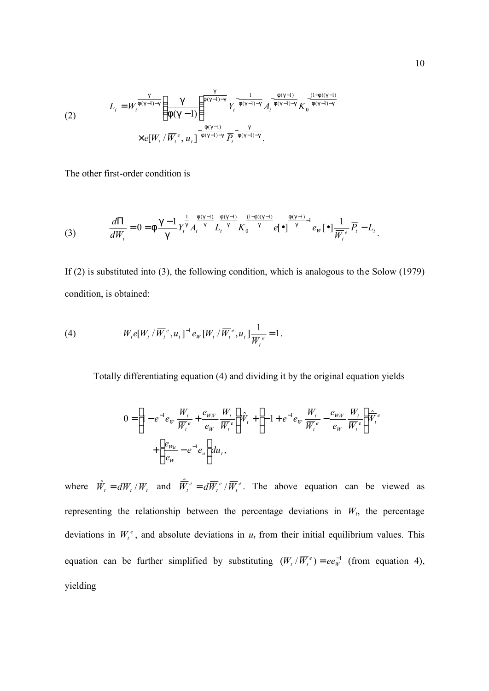$$
L_{t} = W_{t}^{\frac{g}{f(g-1)-g}} \left(\frac{g}{f(g-1)}\right)^{\frac{g}{f(g-1)-g}} Y_{t}^{-\frac{1}{f(g-1)-g}} A_{t}^{-\frac{f(g-1)}{f(g-1)-g}} K_{0}^{-\frac{(1-f)(g-1)}{(f(g-1)-g)}} \times e[W_{t}/\overline{W}_{t}^{e}, u_{t}]^{-\frac{f(g-1)}{f(g-1)-g}} \overline{P_{t}^{-\frac{g}{f(g-1)-g}}}.
$$

The other first-order condition is

(3) 
$$
\frac{d\Pi}{dW_t} = 0 = f \frac{g-1}{g} Y_t^{\frac{1}{g}} A_t^{\frac{f(g-1)}{g}} L_t^{\frac{f(g-1)}{g}} K_0^{\frac{(1-f)(g-1)}{g}} e^{-\frac{f(g-1)}{g} - 1} e_W \cdot \mathbf{e}^{-\frac{1}{g}} \overline{W}_t^e \overline{P}_t - L_t.
$$

If (2) is substituted into (3), the following condition, which is analogous to the Solow (1979) condition, is obtained:

(4) 
$$
W_t e[W_t / \overline{W}_t^e, u_t]^{-1} e_W[W_t / \overline{W}_t^e, u_t] \frac{1}{\overline{W}_t^e} = 1.
$$

Totally differentiating equation (4) and dividing it by the original equation yields

$$
0 = \left[1 - e^{-1}e_W \frac{W_t}{\overline{W}_t^e} + \frac{e_{WW}}{e_W} \frac{W_t}{\overline{W}_t^e}\right] \hat{W}_t + \left[-1 + e^{-1}e_W \frac{W_t}{\overline{W}_t^e} - \frac{e_{WW}}{e_W} \frac{W_t}{\overline{W}_t^e}\right] \hat{\overline{W}_t^e}
$$

$$
+ \left[\frac{e_{W_u}}{e_W} - e^{-1}e_u\right] du_t,
$$

where  $\hat{W}_t = dW_t / W_t$  and  $\overline{\hat{W}_t^e} = d\overline{W}_t^e / \overline{W}_t^e$ *e*  $\hat{\overline{W}}_t^e = d\overline{W}_t^e / \overline{W}_t^e$ . The above equation can be viewed as representing the relationship between the percentage deviations in  $W_t$ , the percentage deviations in  $\overline{W}_t^e$ , and absolute deviations in  $u_t$  from their initial equilibrium values. This equation can be further simplified by substituting  $(W_t / \overline{W}_t^e) = ee_W^{-1}$  (from equation 4), yielding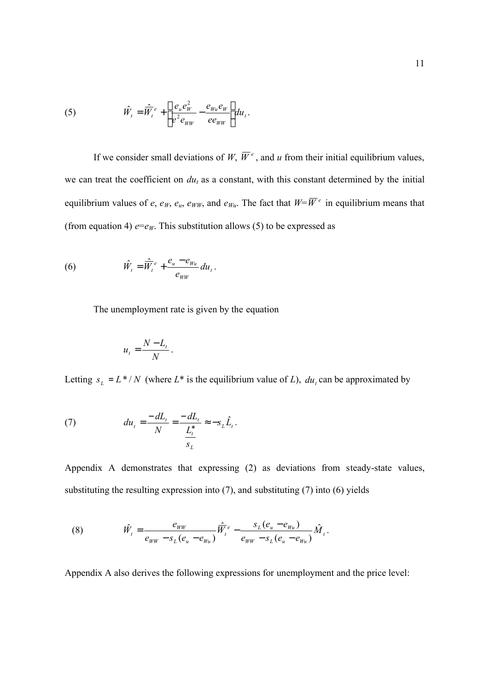(5) 
$$
\hat{W}_t = \hat{\overline{W}}_t^e + \left[ \frac{e_u e_W^2}{e^2 e_{WW}} - \frac{e_{Wu} e_W}{e e_{WW}} \right] du_t.
$$

If we consider small deviations of W,  $\overline{W}^e$ , and u from their initial equilibrium values, we can treat the coefficient on  $du_t$  as a constant, with this constant determined by the initial equilibrium values of *e*, *e*<sub>*W*</sub>, *e*<sub>*u*</sub>, *e*<sub>*WW*</sub>, and *e<sub>Wu</sub>*. The fact that  $W = \overline{W}^e$  in equilibrium means that (from equation 4)  $e = e_W$ . This substitution allows (5) to be expressed as

(6) 
$$
\hat{W}_t = \hat{\overline{W}}_t^e + \frac{e_u - e_{Wu}}{e_{WW}} du_t.
$$

The unemployment rate is given by the equation

$$
u_t = \frac{N - L_t}{N}.
$$

Letting  $s_L = L^* / N$  (where  $L^*$  is the equilibrium value of *L*),  $du_t$  can be approximated by

(7) 
$$
du_t = \frac{-dL_t}{N} = \frac{-dL_t}{\frac{L_t^*}{S_L}} \approx -S_L \hat{L}_t.
$$

Appendix A demonstrates that expressing (2) as deviations from steady-state values, substituting the resulting expression into (7), and substituting (7) into (6) yields

(8) 
$$
\hat{W}_t = \frac{e_{WW}}{e_{WW} - s_L(e_u - e_{Wu})} \hat{\vec{W}}_t^e - \frac{s_L(e_u - e_{Wu})}{e_{WW} - s_L(e_u - e_{Wu})} \hat{M}_t.
$$

Appendix A also derives the following expressions for unemployment and the price level: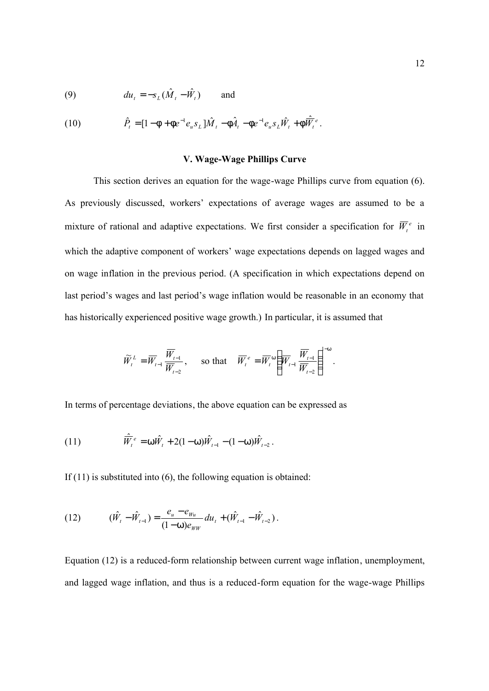(9) 
$$
du_t = -s_L(\hat{M}_t - \hat{W}_t) \quad \text{and} \quad
$$

(10) 
$$
\hat{P}_t = [1 - f + f e^{-1} e_u s_L] \hat{M}_t - f \hat{A}_t - f e^{-1} e_u s_L \hat{W}_t + f \hat{W}_t^e.
$$

## **V. Wage-Wage Phillips Curve**

This section derives an equation for the wage-wage Phillips curve from equation (6). As previously discussed, workers' expectations of average wages are assumed to be a mixture of rational and adaptive expectations. We first consider a specification for  $\overline{W}_{t}^{e}$  in which the adaptive component of workers' wage expectations depends on lagged wages and on wage inflation in the previous period. (A specification in which expectations depend on last period's wages and last period's wage inflation would be reasonable in an economy that has historically experienced positive wage growth.) In particular, it is assumed that

$$
\widetilde{W}_{t}^{L} = \overline{W}_{t-1} \frac{\overline{W}_{t-1}}{\overline{W}_{t-2}}, \quad \text{so that} \quad \overline{W}_{t}^{e} = \overline{W}_{t}^{w} \left( \overline{W}_{t-1} \frac{\overline{W}_{t-1}}{\overline{W}_{t-2}} \right)^{1-w}.
$$

In terms of percentage deviations, the above equation can be expressed as

(11) 
$$
\hat{\overline{W}}_t^e = w \hat{W}_t + 2(1-w)\hat{W}_{t-1} - (1-w)\hat{W}_{t-2}.
$$

If  $(11)$  is substituted into  $(6)$ , the following equation is obtained:

(12) 
$$
(\hat{W}_{t} - \hat{W}_{t-1}) = \frac{e_{u} - e_{Wu}}{(1 - W)e_{WW}} du_{t} + (\hat{W}_{t-1} - \hat{W}_{t-2}).
$$

Equation (12) is a reduced-form relationship between current wage inflation, unemployment, and lagged wage inflation, and thus is a reduced-form equation for the wage-wage Phillips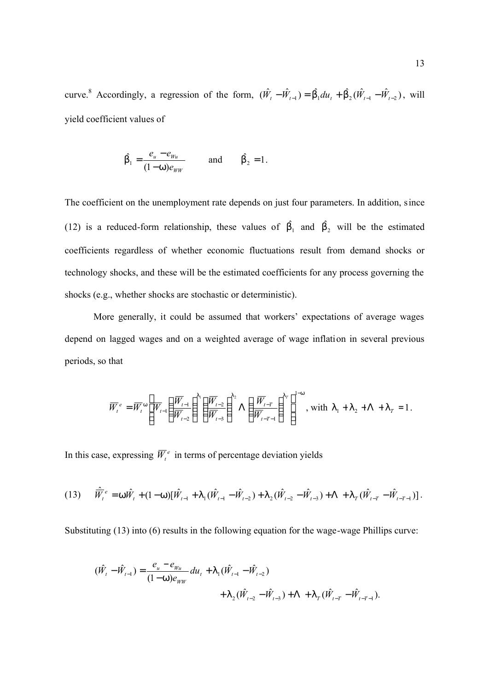curve.<sup>8</sup> Accordingly, a regression of the form,  $(\hat{W}_t - \hat{W}_{t-1}) = \hat{b}_1 du_t + \hat{b}_2 (\hat{W}_{t-1} - \hat{W}_{t-2})$ , will yield coefficient values of

$$
\hat{b_1} = \frac{e_u - e_{w_u}}{(1 - w)e_{w_w}} \quad \text{and} \quad \hat{b_2} = 1.
$$

The coefficient on the unemployment rate depends on just four parameters. In addition, since (12) is a reduced-form relationship, these values of  $\hat{b_1}$  and  $\hat{b_2}$  will be the estimated coefficients regardless of whether economic fluctuations result from demand shocks or technology shocks, and these will be the estimated coefficients for any process governing the shocks (e.g., whether shocks are stochastic or deterministic).

More generally, it could be assumed that workers' expectations of average wages depend on lagged wages and on a weighted average of wage inflation in several previous periods, so that

$$
\overline{W}_{t}^{e} = \overline{W}_{t}^{w} \left[ \overline{W}_{t-1} \left( \frac{\overline{W}_{t-1}}{\overline{W}_{t-2}} \right)^{1} \left( \frac{\overline{W}_{t-2}}{\overline{W}_{t-3}} \right)^{1/2} \Lambda \left( \frac{\overline{W}_{t-T}}{\overline{W}_{t-T-1}} \right)^{1} \right]^{1-w}, \text{ with } l_1 + l_2 + \Lambda + l_T = 1.
$$

In this case, expressing  $\overline{W}_t^e$  in terms of percentage deviation yields

$$
(13) \qquad \overline{\hat{W}}_t^e = W \hat{W}_t + (1 - W) [\hat{W}_{t-1} + I_1 (\hat{W}_{t-1} - \hat{W}_{t-2}) + I_2 (\hat{W}_{t-2} - \hat{W}_{t-3}) + \Lambda + I_T (\hat{W}_{t-T} - \hat{W}_{t-T-1})].
$$

Substituting (13) into (6) results in the following equation for the wage-wage Phillips curve:

$$
\begin{aligned} (\hat{W}_t - \hat{W}_{t-1}) &= \frac{e_u - e_{Wu}}{(1 - W)e_{WW}} du_t + \mathbf{1}_1 (\hat{W}_{t-1} - \hat{W}_{t-2}) \\ &+ \mathbf{1}_2 (\hat{W}_{t-2} - \hat{W}_{t-3}) + \Lambda + \mathbf{1}_T (\hat{W}_{t-T} - \hat{W}_{t-T-1}). \end{aligned}
$$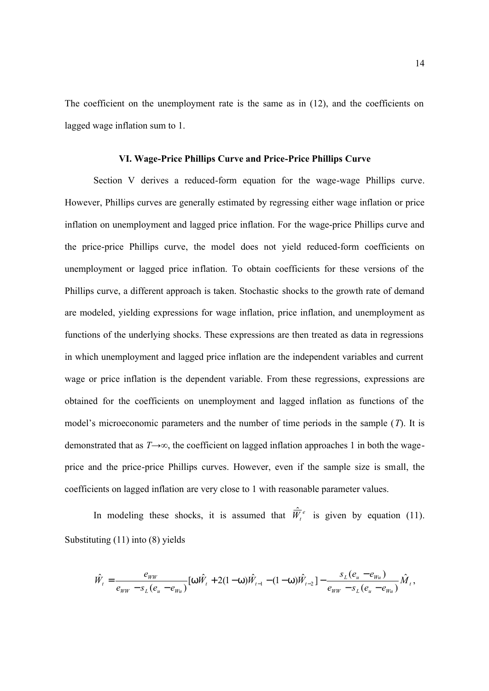The coefficient on the unemployment rate is the same as in (12), and the coefficients on lagged wage inflation sum to 1.

#### **VI. Wage-Price Phillips Curve and Price-Price Phillips Curve**

Section V derives a reduced-form equation for the wage-wage Phillips curve. However, Phillips curves are generally estimated by regressing either wage inflation or price inflation on unemployment and lagged price inflation. For the wage-price Phillips curve and the price-price Phillips curve, the model does not yield reduced-form coefficients on unemployment or lagged price inflation. To obtain coefficients for these versions of the Phillips curve, a different approach is taken. Stochastic shocks to the growth rate of demand are modeled, yielding expressions for wage inflation, price inflation, and unemployment as functions of the underlying shocks. These expressions are then treated as data in regressions in which unemployment and lagged price inflation are the independent variables and current wage or price inflation is the dependent variable. From these regressions, expressions are obtained for the coefficients on unemployment and lagged inflation as functions of the model's microeconomic parameters and the number of time periods in the sample (*T*). It is demonstrated that as *T*→∞, the coefficient on lagged inflation approaches 1 in both the wageprice and the price-price Phillips curves. However, even if the sample size is small, the coefficients on lagged inflation are very close to 1 with reasonable parameter values.

In modeling these shocks, it is assumed that  $\hat{W}_t^e$  is given by equation (11). Substituting (11) into (8) yields

$$
\hat{W}_t = \frac{e_{WW}}{e_{WW} - s_L(e_u - e_{Wu})} [W\hat{W}_t + 2(1 - W)\hat{W}_{t-1} - (1 - W)\hat{W}_{t-2}] - \frac{s_L(e_u - e_{Wu})}{e_{WW} - s_L(e_u - e_{Wu})}\hat{M}_t,
$$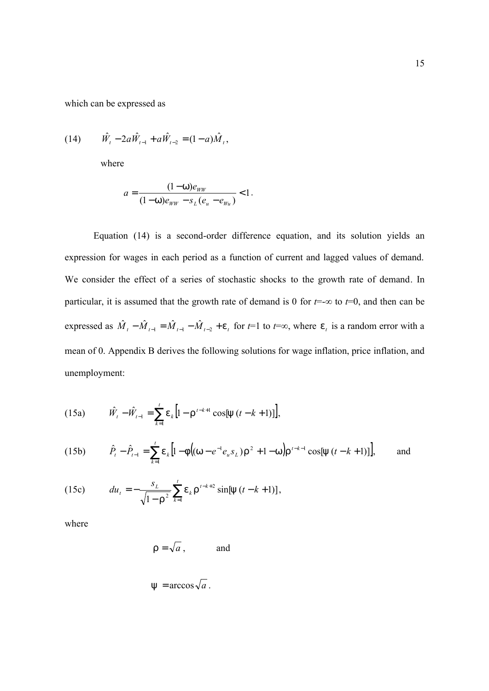which can be expressed as

(14) 
$$
\hat{W}_t - 2a\hat{W}_{t-1} + a\hat{W}_{t-2} = (1-a)\hat{M}_t,
$$

where

$$
a = \frac{(1 - w)e_{WW}}{(1 - w)e_{WW} - s_L(e_u - e_{W_u})} < 1.
$$

Equation (14) is a second-order difference equation, and its solution yields an expression for wages in each period as a function of current and lagged values of demand. We consider the effect of a series of stochastic shocks to the growth rate of demand. In particular, it is assumed that the growth rate of demand is 0 for *t*=-∞ to *t*=0, and then can be expressed as  $\hat{M}_t - \hat{M}_{t-1} = \hat{M}_{t-1} - \hat{M}_{t-2} + e_t$  for  $t=1$  to  $t=\infty$ , where  $e_t$  is a random error with a mean of 0. Appendix B derives the following solutions for wage inflation, price inflation, and unemployment:

(15a) 
$$
\hat{W}_t - \hat{W}_{t-1} = \sum_{k=1}^t e_k \left[ 1 - r^{t-k+1} \cos[y(t-k+1)] \right],
$$

(15b) 
$$
\hat{P}_t - \hat{P}_{t-1} = \sum_{k=1}^t e_k \left[ 1 - f \left( (w - e^{-1} e_u s_L) r^2 + 1 - w \right) r^{t-k-1} \cos[y \left( t - k + 1 \right) ] \right], \text{ and}
$$

(15c) 
$$
du_t = -\frac{s_L}{\sqrt{1-r^2}} \sum_{k=1}^t e_k r^{t-k+2} \sin[y (t-k+1)],
$$

where

$$
r = \sqrt{a}
$$
, and

$$
y = \arccos \sqrt{a}
$$
.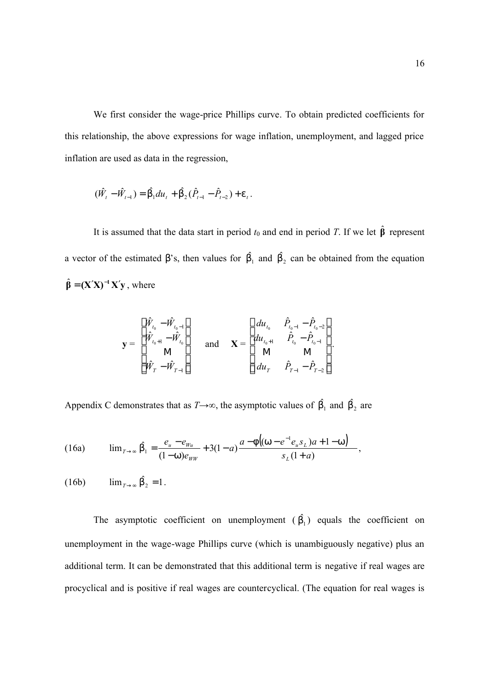We first consider the wage-price Phillips curve. To obtain predicted coefficients for this relationship, the above expressions for wage inflation, unemployment, and lagged price inflation are used as data in the regression,

$$
(\hat{W}_t - \hat{W}_{t-1}) = \hat{b_1} du_t + \hat{b_2} (\hat{P}_{t-1} - \hat{P}_{t-2}) + e_t.
$$

It is assumed that the data start in period  $t_0$  and end in period *T*. If we let  $\hat{\beta}$  represent a vector of the estimated b's, then values for  $\hat{b_1}$  and  $\hat{b_2}$  can be obtained from the equation  $\hat{\beta} = (X'X)^{-1}X'y$ , where

$$
\mathbf{y} = \begin{bmatrix} \hat{W}_{t_0} - \hat{W}_{t_0-1} \\ \hat{W}_{t_0+1} - \hat{W}_{t_0} \\ \mathbf{M} \\ \hat{W}_T - \hat{W}_{T-1} \end{bmatrix} \quad \text{and} \quad \mathbf{X} = \begin{bmatrix} du_{t_0} & \hat{P}_{t_0-1} - \hat{P}_{t_0-2} \\ du_{t_0+1} & \hat{P}_{t_0} - \hat{P}_{t_0-1} \\ \mathbf{M} & \mathbf{M} \\ du_T & \hat{P}_{T-1} - \hat{P}_{T-2} \end{bmatrix}.
$$

Appendix C demonstrates that as  $T \rightarrow \infty$ , the asymptotic values of  $\hat{b_1}$  and  $\hat{b_2}$  are

(16a) 
$$
\lim_{T \to \infty} \hat{b_1} = \frac{e_u - e_{w_u}}{(1 - w)e_{w_w}} + 3(1 - a) \frac{a - f((w - e^{-1}e_u s_L)a + 1 - w)}{s_L(1 + a)},
$$

 $(16b)$   $\lim_{T \to \infty} \hat{b}_2 = 1$ .

The asymptotic coefficient on unemployment  $(\hat{b_1})$  equals the coefficient on unemployment in the wage-wage Phillips curve (which is unambiguously negative) plus an additional term. It can be demonstrated that this additional term is negative if real wages are procyclical and is positive if real wages are countercyclical. (The equation for real wages is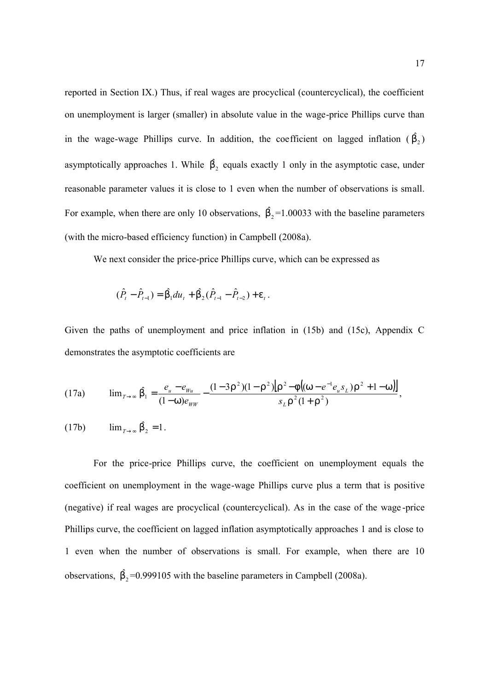reported in Section IX.) Thus, if real wages are procyclical (countercyclical), the coefficient on unemployment is larger (smaller) in absolute value in the wage-price Phillips curve than in the wage-wage Phillips curve. In addition, the coefficient on lagged inflation  $(\hat{b}_2)$ asymptotically approaches 1. While  $\hat{b}_2$  equals exactly 1 only in the asymptotic case, under reasonable parameter values it is close to 1 even when the number of observations is small. For example, when there are only 10 observations,  $\hat{b}_2 = 1.00033$  with the baseline parameters (with the micro-based efficiency function) in Campbell (2008a).

We next consider the price-price Phillips curve, which can be expressed as

$$
(\hat{P}_t - \hat{P}_{t-1}) = \hat{b_1} du_t + \hat{b_2} (\hat{P}_{t-1} - \hat{P}_{t-2}) + e_t.
$$

Given the paths of unemployment and price inflation in (15b) and (15c), Appendix C demonstrates the asymptotic coefficients are

(17a) 
$$
\lim_{T \to \infty} \hat{b_1} = \frac{e_u - e_{Wu}}{(1 - W)e_{WW}} - \frac{(1 - 3r^2)(1 - r^2)[r^2 - f((w - e^{-1}e_u s_L)r^2 + 1 - w)]}{s_L r^2 (1 + r^2)},
$$

$$
(17b) \qquad \lim_{T \to \infty} \hat{b}_2 = 1.
$$

For the price-price Phillips curve, the coefficient on unemployment equals the coefficient on unemployment in the wage-wage Phillips curve plus a term that is positive (negative) if real wages are procyclical (countercyclical). As in the case of the wage -price Phillips curve, the coefficient on lagged inflation asymptotically approaches 1 and is close to 1 even when the number of observations is small. For example, when there are 10 observations,  $\hat{b}_2$ =0.999105 with the baseline parameters in Campbell (2008a).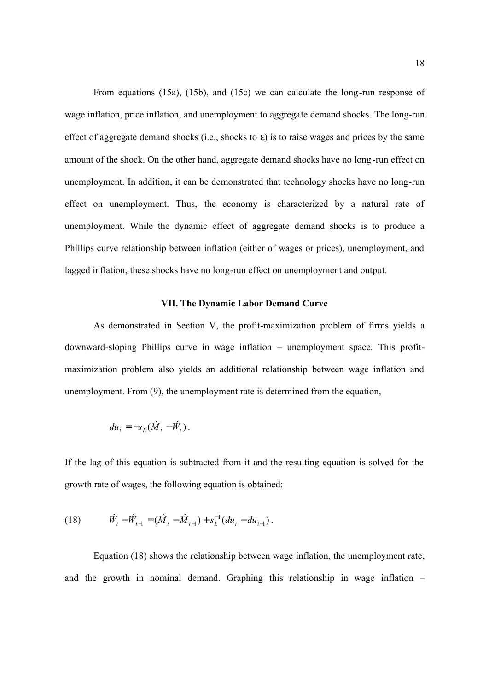From equations (15a), (15b), and (15c) we can calculate the long-run response of wage inflation, price inflation, and unemployment to aggregate demand shocks. The long-run effect of aggregate demand shocks (i.e., shocks to *e*) is to raise wages and prices by the same amount of the shock. On the other hand, aggregate demand shocks have no long -run effect on unemployment. In addition, it can be demonstrated that technology shocks have no long-run effect on unemployment. Thus, the economy is characterized by a natural rate of unemployment. While the dynamic effect of aggregate demand shocks is to produce a Phillips curve relationship between inflation (either of wages or prices), unemployment, and lagged inflation, these shocks have no long-run effect on unemployment and output.

# **VII. The Dynamic Labor Demand Curve**

As demonstrated in Section V, the profit-maximization problem of firms yields a downward-sloping Phillips curve in wage inflation – unemployment space. This profitmaximization problem also yields an additional relationship between wage inflation and unemployment. From (9), the unemployment rate is determined from the equation,

$$
du_t = -s_L(\hat{M}_t - \hat{W}_t).
$$

If the lag of this equation is subtracted from it and the resulting equation is solved for the growth rate of wages, the following equation is obtained:

(18) 
$$
\hat{W}_t - \hat{W}_{t-1} = (\hat{M}_t - \hat{M}_{t-1}) + s_L^{-1}(du_t - du_{t-1}).
$$

Equation (18) shows the relationship between wage inflation, the unemployment rate, and the growth in nominal demand. Graphing this relationship in wage inflation –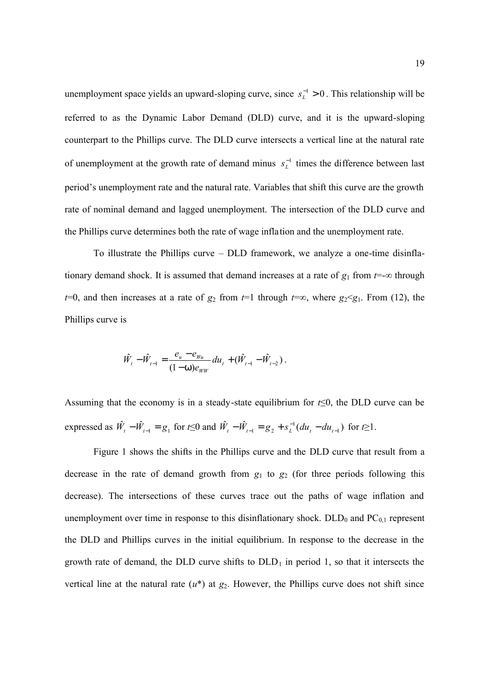unemployment space yields an upward-sloping curve, since  $s_L^{-1} > 0$  $s_L^{-1} > 0$ . This relationship will be referred to as the Dynamic Labor Demand (DLD) curve, and it is the upward-sloping counterpart to the Phillips curve. The DLD curve intersects a vertical line at the natural rate of unemployment at the growth rate of demand minus  $s_L^{-1}$  times the difference between last period's unemployment rate and the natural rate. Variables that shift this curve are the growth rate of nominal demand and lagged unemployment. The intersection of the DLD curve and the Phillips curve determines both the rate of wage inflation and the unemployment rate.

To illustrate the Phillips curve – DLD framework, we analyze a one-time disinflationary demand shock. It is assumed that demand increases at a rate of  $g_1$  from  $t = -\infty$  through *t*=0, and then increases at a rate of  $g_2$  from *t*=1 through *t*=∞, where  $g_2$ < $g_1$ . From (12), the Phillips curve is

$$
\hat{W}_{t} - \hat{W}_{t-1} = \frac{e_{u} - e_{Wu}}{(1 - W)e_{WW}} du_{t} + (\hat{W}_{t-1} - \hat{W}_{t-2}).
$$

Assuming that the economy is in a steady-state equilibrium for *t*≤0, the DLD curve can be expressed as  $\hat{W}_t - \hat{W}_{t-1} = g_1$  for  $t \le 0$  and  $\hat{W}_t - \hat{W}_{t-1} = g_2 + s_L^{-1}(du_t - du_{t-1})$ 1  $1 - 82 + 3L$  (au<sub>t</sub> au<sub>t</sub>  $W_t - W_{t-1} = g_2 + s_L^{-1}(du_t - du_{t-1})$  for  $t \ge 1$ .

Figure 1 shows the shifts in the Phillips curve and the DLD curve that result from a decrease in the rate of demand growth from  $g_1$  to  $g_2$  (for three periods following this decrease). The intersections of these curves trace out the paths of wage inflation and unemployment over time in response to this disinflationary shock.  $DLD_0$  and  $PC_{0,1}$  represent the DLD and Phillips curves in the initial equilibrium. In response to the decrease in the growth rate of demand, the DLD curve shifts to  $DLD_1$  in period 1, so that it intersects the vertical line at the natural rate  $(u^*)$  at  $g_2$ . However, the Phillips curve does not shift since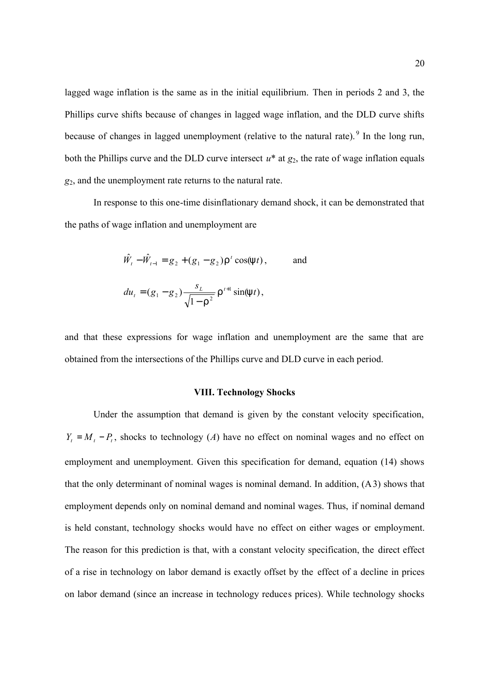lagged wage inflation is the same as in the initial equilibrium. Then in periods 2 and 3, the Phillips curve shifts because of changes in lagged wage inflation, and the DLD curve shifts because of changes in lagged unemployment (relative to the natural rate).  $9$  In the long run, both the Phillips curve and the DLD curve intersect  $u^*$  at  $g_2$ , the rate of wage inflation equals *g*2, and the unemployment rate returns to the natural rate.

In response to this one-time disinflationary demand shock, it can be demonstrated that the paths of wage inflation and unemployment are

$$
\hat{W}_t - \hat{W}_{t-1} = g_2 + (g_1 - g_2) \Gamma^t \cos(\theta t), \quad \text{and}
$$
  

$$
du_t = (g_1 - g_2) \frac{s_L}{\sqrt{1 - \Gamma^2}} \Gamma^{t+1} \sin(\theta t),
$$

and that these expressions for wage inflation and unemployment are the same that are obtained from the intersections of the Phillips curve and DLD curve in each period.

#### **VIII. Technology Shocks**

Under the assumption that demand is given by the constant velocity specification,  $Y_t = M_t - P_t$ , shocks to technology (*A*) have no effect on nominal wages and no effect on employment and unemployment. Given this specification for demand, equation (14) shows that the only determinant of nominal wages is nominal demand. In addition, (A3) shows that employment depends only on nominal demand and nominal wages. Thus, if nominal demand is held constant, technology shocks would have no effect on either wages or employment. The reason for this prediction is that, with a constant velocity specification, the direct effect of a rise in technology on labor demand is exactly offset by the effect of a decline in prices on labor demand (since an increase in technology reduces prices). While technology shocks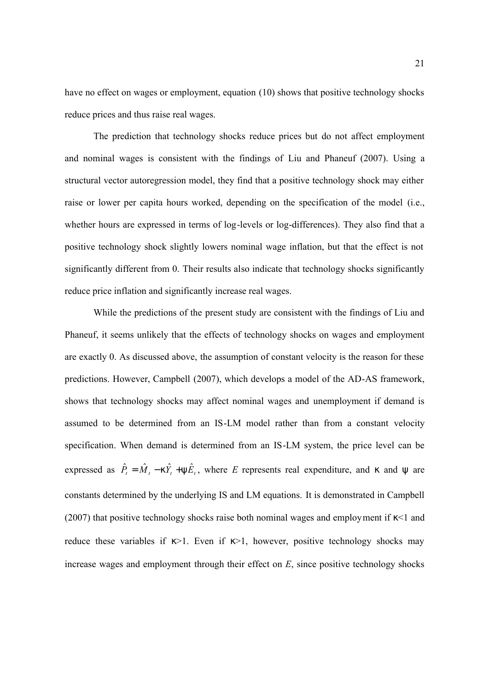have no effect on wages or employment, equation (10) shows that positive technology shocks reduce prices and thus raise real wages.

The prediction that technology shocks reduce prices but do not affect employment and nominal wages is consistent with the findings of Liu and Phaneuf (2007). Using a structural vector autoregression model, they find that a positive technology shock may either raise or lower per capita hours worked, depending on the specification of the model (i.e., whether hours are expressed in terms of log-levels or log-differences). They also find that a positive technology shock slightly lowers nominal wage inflation, but that the effect is not significantly different from 0. Their results also indicate that technology shocks significantly reduce price inflation and significantly increase real wages.

While the predictions of the present study are consistent with the findings of Liu and Phaneuf, it seems unlikely that the effects of technology shocks on wages and employment are exactly 0. As discussed above, the assumption of constant velocity is the reason for these predictions. However, Campbell (2007), which develops a model of the AD-AS framework, shows that technology shocks may affect nominal wages and unemployment if demand is assumed to be determined from an IS-LM model rather than from a constant velocity specification. When demand is determined from an IS-LM system, the price level can be expressed as  $\hat{P}_t = \hat{M}_t - k\hat{Y}_t + y\hat{E}_t$ , where *E* represents real expenditure, and *k* and *y* are constants determined by the underlying IS and LM equations. It is demonstrated in Campbell (2007) that positive technology shocks raise both nominal wages and employment if *k*<1 and reduce these variables if *k*>1. Even if *k*>1, however, positive technology shocks may increase wages and employment through their effect on *E*, since positive technology shocks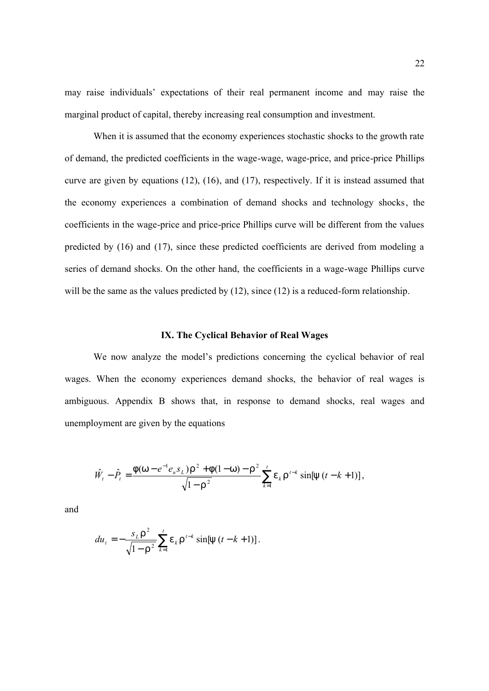may raise individuals' expectations of their real permanent income and may raise the marginal product of capital, thereby increasing real consumption and investment.

When it is assumed that the economy experiences stochastic shocks to the growth rate of demand, the predicted coefficients in the wage-wage, wage-price, and price-price Phillips curve are given by equations (12), (16), and (17), respectively. If it is instead assumed that the economy experiences a combination of demand shocks and technology shocks, the coefficients in the wage-price and price-price Phillips curve will be different from the values predicted by (16) and (17), since these predicted coefficients are derived from modeling a series of demand shocks. On the other hand, the coefficients in a wage-wage Phillips curve will be the same as the values predicted by (12), since (12) is a reduced-form relationship.

#### **IX. The Cyclical Behavior of Real Wages**

We now analyze the model's predictions concerning the cyclical behavior of real wages. When the economy experiences demand shocks, the behavior of real wages is ambiguous. Appendix B shows that, in response to demand shocks, real wages and unemployment are given by the equations

$$
\hat{W}_t - \hat{P}_t = \frac{f(w - e^{-1}e_u s_L) r^2 + f(1 - w) - r^2}{\sqrt{1 - r^2}} \sum_{k=1}^t e_k r^{t-k} \sin[y(t - k + 1)],
$$

and

$$
du_{t} = -\frac{s_{L}r^{2}}{\sqrt{1-r^{2}}} \sum_{k=1}^{t} e_{k}r^{t-k} \sin[y(t-k+1)].
$$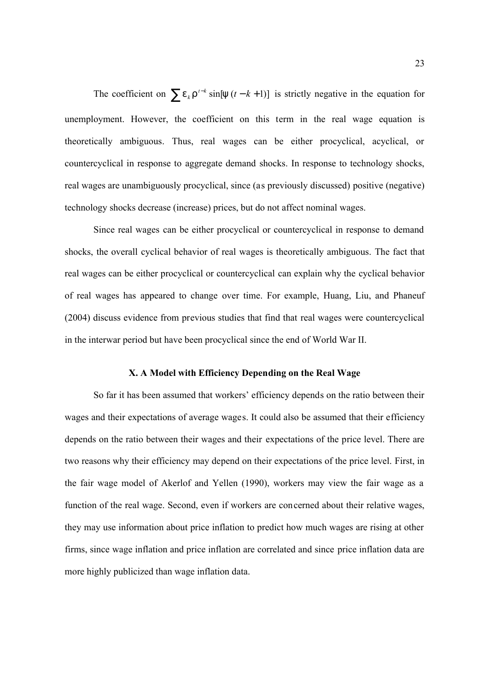The coefficient on  $\sum e_k r^{t-k} \sin[y(t-k+1)]$  is strictly negative in the equation for unemployment. However, the coefficient on this term in the real wage equation is theoretically ambiguous. Thus, real wages can be either procyclical, acyclical, or countercyclical in response to aggregate demand shocks. In response to technology shocks, real wages are unambiguously procyclical, since (as previously discussed) positive (negative) technology shocks decrease (increase) prices, but do not affect nominal wages.

Since real wages can be either procyclical or countercyclical in response to demand shocks, the overall cyclical behavior of real wages is theoretically ambiguous. The fact that real wages can be either procyclical or countercyclical can explain why the cyclical behavior of real wages has appeared to change over time. For example, Huang, Liu, and Phaneuf (2004) discuss evidence from previous studies that find that real wages were countercyclical in the interwar period but have been procyclical since the end of World War II.

#### **X. A Model with Efficiency Depending on the Real Wage**

So far it has been assumed that workers' efficiency depends on the ratio between their wages and their expectations of average wages. It could also be assumed that their efficiency depends on the ratio between their wages and their expectations of the price level. There are two reasons why their efficiency may depend on their expectations of the price level. First, in the fair wage model of Akerlof and Yellen (1990), workers may view the fair wage as a function of the real wage. Second, even if workers are concerned about their relative wages, they may use information about price inflation to predict how much wages are rising at other firms, since wage inflation and price inflation are correlated and since price inflation data are more highly publicized than wage inflation data.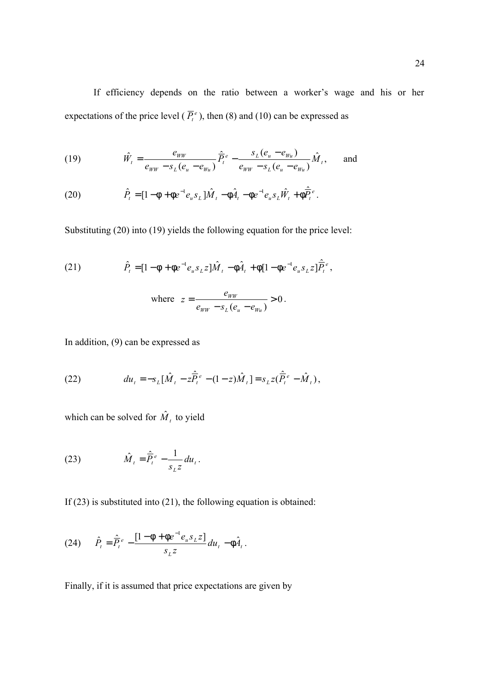If efficiency depends on the ratio between a worker's wage and his or her expectations of the price level ( $\overline{P}_t^e$ ), then (8) and (10) can be expressed as

(19) 
$$
\hat{W}_t = \frac{e_{WW}}{e_{WW} - s_L(e_u - e_{W_u})} \hat{P}_t^e - \frac{s_L(e_u - e_{W_u})}{e_{WW} - s_L(e_u - e_{W_u})} \hat{M}_t, \text{ and}
$$

(20) 
$$
\hat{P}_t = [1 - f + f e^{-1} e_u s_L] \hat{M}_t - f \hat{A}_t - f e^{-1} e_u s_L \hat{W}_t + f \hat{P}_t^e.
$$

Substituting (20) into (19) yields the following equation for the price level:

(21) 
$$
\hat{P}_t = [1 - f + fe^{-1}e_u s_L z] \hat{M}_t - f\hat{A}_t + f[1 - fe^{-1}e_u s_L z] \hat{P}_t^e,
$$
  
where 
$$
z = \frac{e_{ww}}{e_{ww} - s_L(e_u - e_{wu})} > 0.
$$

In addition, (9) can be expressed as

(22) 
$$
du_t = -s_L[\hat{M}_t - z\hat{P}_t^e - (1-z)\hat{M}_t] = s_L z(\hat{P}_t^e - \hat{M}_t),
$$

which can be solved for  $\hat{M}_{t}$  to yield

(23) 
$$
\hat{M}_t = \hat{\overline{P}_t}^e - \frac{1}{s_L z} du_t.
$$

If (23) is substituted into (21), the following equation is obtained:

(24) 
$$
\hat{P}_t = \hat{\overline{P}}_t^e - \frac{[1 - \mathbf{f} + \mathbf{f}e^{-1}e_u s_L z]}{s_L z} du_t - \mathbf{f}\hat{A}_t.
$$

Finally, if it is assumed that price expectations are given by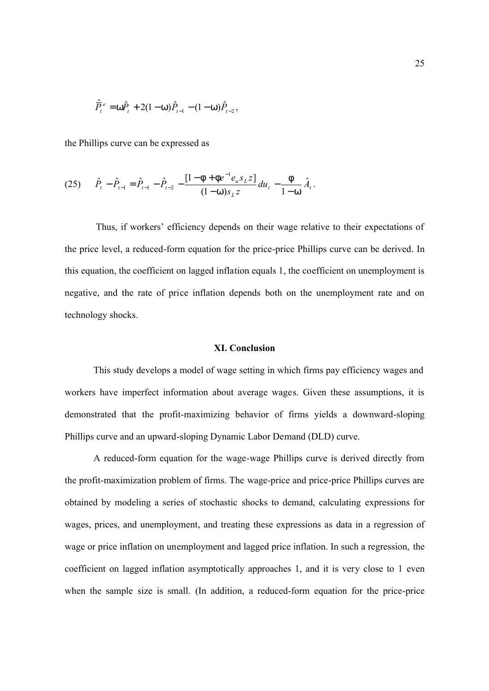$$
\hat{\overline{P}}_t^e = W\hat{P}_t + 2(1-W)\hat{P}_{t-1} - (1-W)\hat{P}_{t-2},
$$

the Phillips curve can be expressed as

$$
(25) \qquad \hat{P}_t - \hat{P}_{t-1} = \hat{P}_{t-1} - \hat{P}_{t-2} - \frac{[1 - \mathsf{f} + \mathsf{f}e^{-1}e_u s_L z]}{(1 - w)s_L z} du_t - \frac{\mathsf{f}}{1 - w} \hat{A}_t.
$$

Thus, if workers' efficiency depends on their wage relative to their expectations of the price level, a reduced-form equation for the price-price Phillips curve can be derived. In this equation, the coefficient on lagged inflation equals 1, the coefficient on unemployment is negative, and the rate of price inflation depends both on the unemployment rate and on technology shocks.

#### **XI. Conclusion**

This study develops a model of wage setting in which firms pay efficiency wages and workers have imperfect information about average wages. Given these assumptions, it is demonstrated that the profit-maximizing behavior of firms yields a downward-sloping Phillips curve and an upward-sloping Dynamic Labor Demand (DLD) curve.

A reduced-form equation for the wage-wage Phillips curve is derived directly from the profit-maximization problem of firms. The wage-price and price-price Phillips curves are obtained by modeling a series of stochastic shocks to demand, calculating expressions for wages, prices, and unemployment, and treating these expressions as data in a regression of wage or price inflation on unemployment and lagged price inflation. In such a regression, the coefficient on lagged inflation asymptotically approaches 1, and it is very close to 1 even when the sample size is small. (In addition, a reduced-form equation for the price-price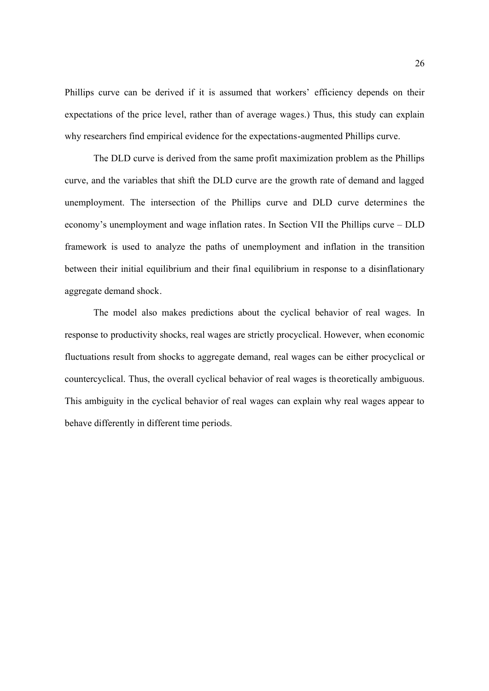Phillips curve can be derived if it is assumed that workers' efficiency depends on their expectations of the price level, rather than of average wages.) Thus, this study can explain why researchers find empirical evidence for the expectations-augmented Phillips curve.

The DLD curve is derived from the same profit maximization problem as the Phillips curve, and the variables that shift the DLD curve are the growth rate of demand and lagged unemployment. The intersection of the Phillips curve and DLD curve determines the economy's unemployment and wage inflation rates. In Section VII the Phillips curve – DLD framework is used to analyze the paths of unemployment and inflation in the transition between their initial equilibrium and their final equilibrium in response to a disinflationary aggregate demand shock.

The model also makes predictions about the cyclical behavior of real wages. In response to productivity shocks, real wages are strictly procyclical. However, when economic fluctuations result from shocks to aggregate demand, real wages can be either procyclical or countercyclical. Thus, the overall cyclical behavior of real wages is theoretically ambiguous. This ambiguity in the cyclical behavior of real wages can explain why real wages appear to behave differently in different time periods.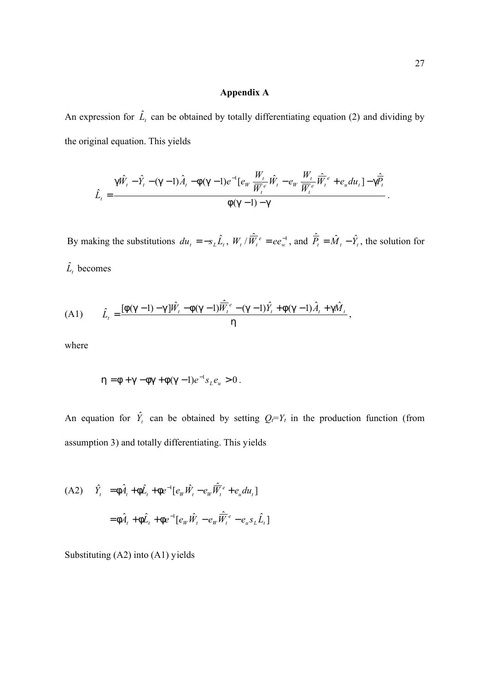#### **Appendix A**

An expression for  $\hat{L}_t$  can be obtained by totally differentiating equation (2) and dividing by the original equation. This yields

$$
\hat{L}_t = \frac{g\hat{W}_t - \hat{Y}_t - (g-1)\hat{A}_t - f(g-1)e^{-1}[e_W \frac{W_t}{\overline{W}_t} \hat{W}_t - e_W \frac{W_t}{\overline{W}_t} \hat{W}_t^e + e_u du_t] - g\hat{P}_t}{f(g-1) - g}.
$$

By making the substitutions  $du_t = -s_L \hat{L}_t$ ,  $W_t / \hat{W}_t^e = ee_w^{-1}$ , and  $\hat{P}_t = \hat{M}_t - \hat{Y}_t$ , the solution for  $\hat{L}_t$  becomes

(A1) 
$$
\hat{L}_t = \frac{[f(g-1) - g]\hat{W}_t - f(g-1)\hat{W}_t^{\hat{e}} - (g-1)\hat{Y}_t + f(g-1)\hat{A}_t + g\hat{M}_t}{h},
$$

where

$$
h = f + g - fg + f(g - 1)e^{-1}s_{L}e_{u} > 0.
$$

An equation for  $\hat{Y}_t$  can be obtained by setting  $Q_t = Y_t$  in the production function (from assumption 3) and totally differentiating. This yields

(A2) 
$$
\hat{Y}_t = \hat{f} \hat{A}_t + \hat{f} \hat{L}_t + \hat{f} e^{-1} [e_W \hat{W}_t - e_W \hat{W}_t^e + e_u du_t]
$$
  

$$
= \hat{f} \hat{A}_t + \hat{f} \hat{L}_t + \hat{f} e^{-1} [e_W \hat{W}_t - e_W \hat{W}_t^e - e_u s_L \hat{L}_t]
$$

Substituting (A2) into (A1) yields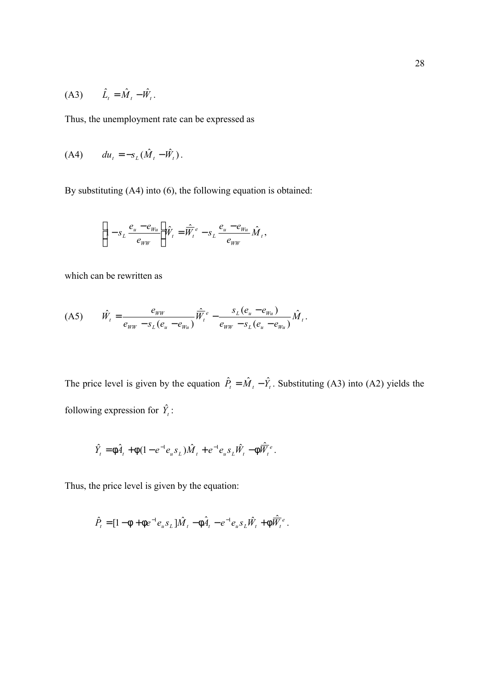$$
(A3) \qquad \hat{L}_t = \hat{M}_t - \hat{W}_t.
$$

Thus, the unemployment rate can be expressed as

$$
(A4) \qquad du_t = -s_L(\hat{M}_t - \hat{W}_t).
$$

By substituting (A4) into (6), the following equation is obtained:

$$
\left[1 - s_L \frac{e_u - e_{Wu}}{e_{WW}}\right] \hat{W}_t = \hat{\overline{W}}_t^e - s_L \frac{e_u - e_{Wu}}{e_{WW}} \hat{M}_t,
$$

which can be rewritten as

$$
(A5) \qquad \hat{W}_{t} = \frac{e_{WW}}{e_{WW} - s_{L}(e_{u} - e_{Wu})} \hat{\overline{W}}_{t}^{e} - \frac{s_{L}(e_{u} - e_{Wu})}{e_{WW} - s_{L}(e_{u} - e_{Wu})} \hat{M}_{t}.
$$

The price level is given by the equation  $\hat{P}_t = \hat{M}_t - \hat{Y}_t$ . Substituting (A3) into (A2) yields the following expression for  $\hat{Y}_t$ :

$$
\hat{Y}_t = \hat{\Gamma} \hat{A}_t + \hat{\Gamma} (1 - e^{-1} e_u s_L) \hat{M}_t + e^{-1} e_u s_L \hat{W}_t - \hat{\Gamma} \hat{W}_t^e.
$$

Thus, the price level is given by the equation:

$$
\hat{P}_t = [1 - \mathsf{f} + \mathsf{f} e^{-1} e_u s_L] \hat{M}_t - \mathsf{f} \hat{A}_t - e^{-1} e_u s_L \hat{W}_t + \mathsf{f} \hat{\overline{W}}_t^e.
$$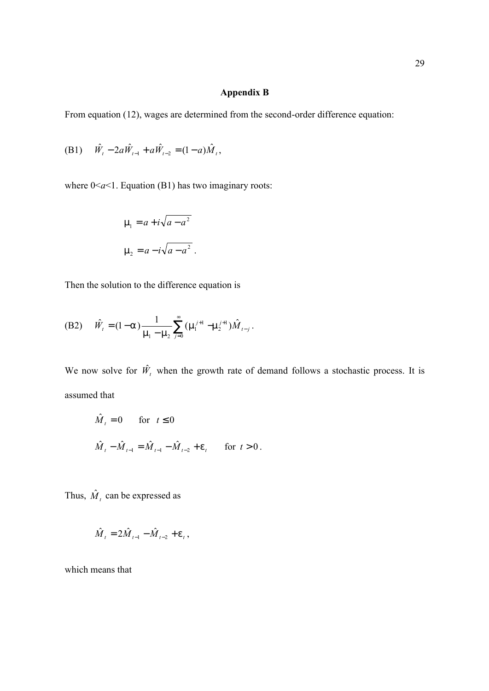# **Appendix B**

From equation (12), wages are determined from the second-order difference equation:

(B1) 
$$
\hat{W}_t - 2a\hat{W}_{t-1} + a\hat{W}_{t-2} = (1-a)\hat{M}_t
$$
,

where  $0 \le a \le 1$ . Equation (B1) has two imaginary roots:

$$
m_1 = a + i\sqrt{a - a^2}
$$
  

$$
m_2 = a - i\sqrt{a - a^2}
$$

Then the solution to the difference equation is

(B2) 
$$
\hat{W}_t = (1 - \alpha) \frac{1}{m_1 - m_2} \sum_{j=0}^{\infty} (m_1^{j+1} - m_2^{j+1}) \hat{M}_{t-j}
$$
.

We now solve for  $\hat{W}_t$  when the growth rate of demand follows a stochastic process. It is assumed that

$$
\hat{M}_t = 0 \quad \text{for} \quad t \le 0
$$
\n
$$
\hat{M}_t - \hat{M}_{t-1} = \hat{M}_{t-1} - \hat{M}_{t-2} + e_t \quad \text{for} \quad t > 0.
$$

Thus,  $\hat{M}_t$  can be expressed as

$$
\hat{M}_{t} = 2\hat{M}_{t-1} - \hat{M}_{t-2} + \mathbf{e}_{t},
$$

which means that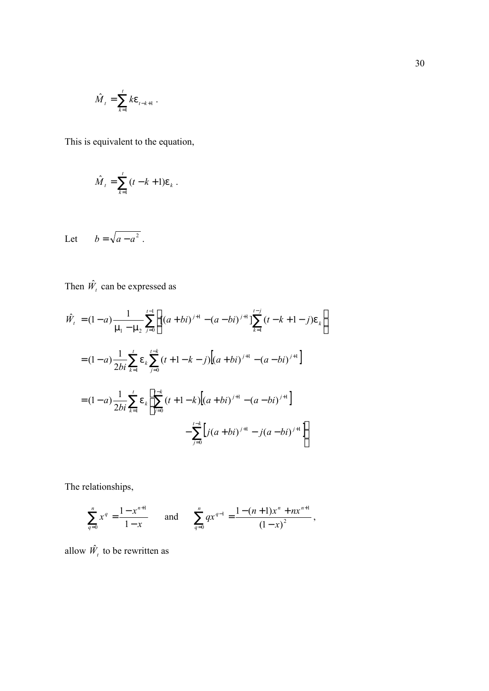$$
\hat{M}_t = \sum_{k=1}^t k \mathbf{e}_{t-k+1}.
$$

This is equivalent to the equation,

$$
\hat{M}_t = \sum_{k=1}^t (t - k + 1) e_k.
$$

Let  $b = \sqrt{a - a^2}$ .

Then  $\hat{W}_t$  can be expressed as

$$
\hat{W}_t = (1 - a) \frac{1}{m_1 - m_2} \sum_{j=0}^{t-1} \left[ [(a + bi)^{j+1} - (a - bi)^{j+1}] \sum_{k=1}^{t-j} (t - k + 1 - j) e_k \right]
$$

$$
= (1 - a) \frac{1}{2bi} \sum_{k=1}^t e_k \sum_{j=0}^{t-k} (t + 1 - k - j) [(a + bi)^{j+1} - (a - bi)^{j+1}]
$$

$$
= (1 - a) \frac{1}{2bi} \sum_{k=1}^t e_k \left[ \sum_{j=0}^{t-k} (t + 1 - k) [(a + bi)^{j+1} - (a - bi)^{j+1}] \right]
$$

$$
- \sum_{j=0}^{t-k} [j(a + bi)^{j+1} - j(a - bi)^{j+1}] \right]
$$

The relationships,

$$
\sum_{q=0}^{n} x^{q} = \frac{1 - x^{n+1}}{1 - x} \quad \text{and} \quad \sum_{q=0}^{n} qx^{q-1} = \frac{1 - (n+1)x^{n} + nx^{n+1}}{(1 - x)^{2}},
$$

allow  $\hat{W}_t$  to be rewritten as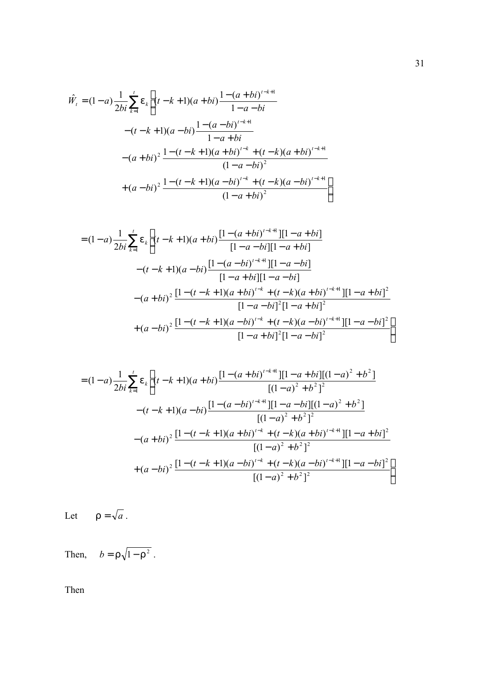$$
\hat{W}_t = (1-a)\frac{1}{2bi} \sum_{k=1}^t e_k \left[ (t-k+1)(a+bi)\frac{1-(a+bi)^{t-k+1}}{1-a-bi} - (t-k+1)(a-bi)\frac{1-(a-bi)^{t-k+1}}{1-a+bi} - (a+bi)^2 \frac{1-(t-k+1)(a+bi)^{t-k} + (t-k)(a+bi)^{t-k+1}}{(1-a-bi)^2} + (a-bi)^2 \frac{1-(t-k+1)(a-bi)^{t-k} + (t-k)(a-bi)^{t-k+1}}{(1-a+bi)^2} \right]
$$

$$
= (1-a)\frac{1}{2bi} \sum_{k=1}^{t} e_k \left[ (t-k+1)(a+bi)\frac{[1-(a+bi)^{t-k+1}][1-a+bi]}{[1-a-bi][1-a+bi]} - (t-k+1)(a-bi)\frac{[1-(a-bi)^{t-k+1}][1-a-bi]}{[1-a+bi][1-a-bi]} - (a+bi)^2 \frac{[1-(t-k+1)(a+bi)^{t-k}+(t-k)(a+bi)^{t-k+1}][1-a+bi]^2}{[1-a-bi]^2 [1-a+bi]^2} + (a-bi)^2 \frac{[1-(t-k+1)(a-bi)^{t-k}+(t-k)(a-bi)^{t-k+1}][1-a-bi]^2}{[1-a+bi]^2 [1-a-bi]^2} \right]
$$

$$
= (1-a)\frac{1}{2bi} \sum_{k=1}^{t} e_k \left[ (t-k+1)(a+bi) \frac{[1-(a+bi)^{t-k+1}][1-a+bi][(1-a)^2+b^2]}{[(1-a)^2+b^2]^2} \right.
$$
  

$$
-(t-k+1)(a-bi) \frac{[1-(a-bi)^{t-k+1}][1-a-bi][(1-a)^2+b^2]}{[(1-a)^2+b^2]^2}
$$
  

$$
-(a+bi)^2 \frac{[1-(t-k+1)(a+bi)^{t-k}+(t-k)(a+bi)^{t-k+1}][1-a+bi]^2}{[(1-a)^2+b^2]^2}
$$
  

$$
+(a-bi)^2 \frac{[1-(t-k+1)(a-bi)^{t-k}+(t-k)(a-bi)^{t-k+1}][1-a-bi]^2}{[(1-a)^2+b^2]^2} \right]
$$

Let  $r = \sqrt{a}$ .

Then,  $b = r\sqrt{1-r^2}$ .

Then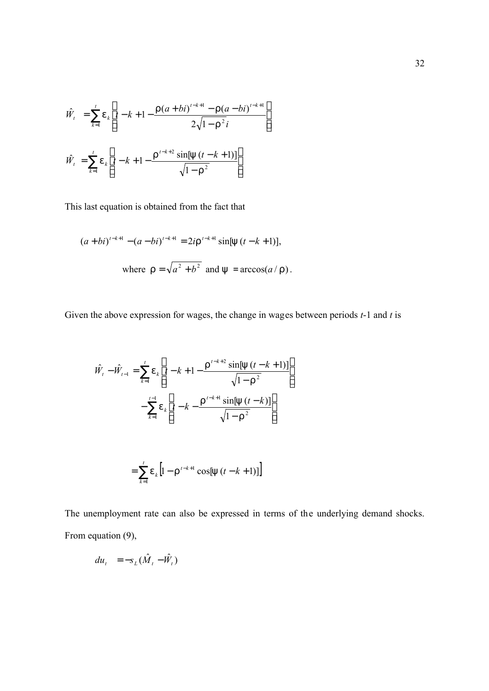$$
\hat{W}_t = \sum_{k=1}^t e_k \left[ t - k + 1 - \frac{\Gamma(a+bi)^{t-k+1} - \Gamma(a-bi)^{t-k+1}}{2\sqrt{1-\Gamma^2}i} \right]
$$
\n
$$
\hat{W}_t = \sum_{k=1}^t e_k \left[ t - k + 1 - \frac{\Gamma^{t-k+2} \sin[y(t-k+1)]}{\sqrt{1-\Gamma^2}} \right]
$$

This last equation is obtained from the fact that

$$
(a+bi)^{t-k+1} - (a-bi)^{t-k+1} = 2ir^{t-k+1} \sin[y (t-k+1)],
$$
  
where  $r = \sqrt{a^2 + b^2}$  and  $y = \arccos(a/r)$ .

Given the above expression for wages, the change in wages between periods *t*-1 and *t* is

$$
\hat{W}_t - \hat{W}_{t-1} = \sum_{k=1}^t e_k \left[ t - k + 1 - \frac{r^{t-k+2} \sin[y(t-k+1)]}{\sqrt{1 - r^2}} \right]
$$

$$
- \sum_{k=1}^{t-1} e_k \left[ t - k - \frac{r^{t-k+1} \sin[y(t-k)]}{\sqrt{1 - r^2}} \right]
$$

$$
= \sum_{k=1}^{t} e_k [1 - r^{t-k+1} \cos[y (t - k + 1)]]
$$

The unemployment rate can also be expressed in terms of the underlying demand shocks. From equation (9),

$$
du_t = -s_L(\hat{M}_t - \hat{W}_t)
$$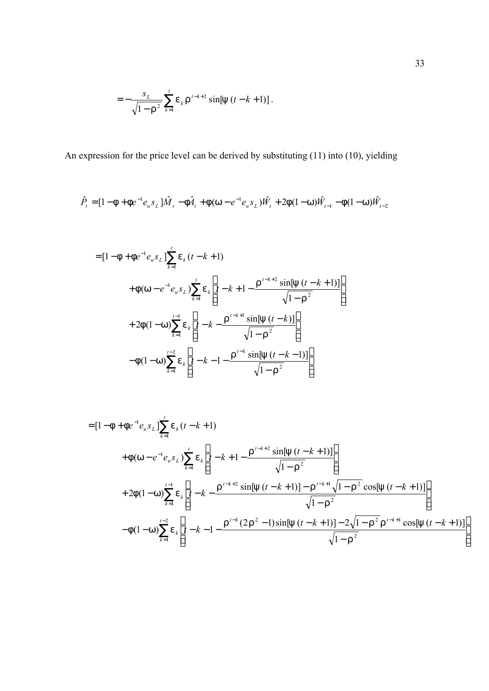$$
= -\frac{s_L}{\sqrt{1-r^2}} \sum_{k=1}^t e_k r^{t-k+2} \sin[y (t-k+1)].
$$

An expression for the price level can be derived by substituting (11) into (10), yielding

$$
\hat{P}_t = [1 - \mathbf{f} + \mathbf{f}e^{-1}e_u s_L]\hat{M}_t - \mathbf{f}\hat{A}_t + \mathbf{f}(w - e^{-1}e_u s_L)\hat{W}_t + 2\mathbf{f}(1 - w)\hat{W}_{t-1} - \mathbf{f}(1 - w)\hat{W}_{t-2}
$$

$$
= [1 - f + fe^{-1}e_{u} s_{L}] \sum_{k=1}^{t} e_{k} (t - k + 1)
$$
  
+  $f (w - e^{-1}e_{u} s_{L}) \sum_{k=1}^{t} e_{k} \left[ t - k + 1 - \frac{r^{t-k+2} \sin[y (t - k + 1)]}{\sqrt{1 - r^{2}}} \right]$   
+  $2f (1-w) \sum_{k=1}^{t-1} e_{k} \left[ t - k - \frac{r^{t-k+1} \sin[y (t - k)]}{\sqrt{1 - r^{2}}} \right]$   
-  $f (1-w) \sum_{k=1}^{t-2} e_{k} \left[ t - k - 1 - \frac{r^{t-k} \sin[y (t - k - 1)]}{\sqrt{1 - r^{2}}} \right]$ 

$$
= [1 - f + fe^{-1}e_{u}s_{L}] \sum_{k=1}^{t} e_{k}(t-k+1)
$$
  
+  $f(w - e^{-1}e_{u}s_{L}) \sum_{k=1}^{t} e_{k} \left[ t - k + 1 - \frac{r^{t-k+2} \sin[y(t-k+1)]}{\sqrt{1-r^{2}}} \right]$   
+  $2f(1-w) \sum_{k=1}^{t-1} e_{k} \left[ t - k - \frac{r^{t-k+2} \sin[y(t-k+1)] - r^{t-k+1} \sqrt{1-r^{2}} \cos[y(t-k+1)]}{\sqrt{1-r^{2}}}\right]$   
-  $f(1-w) \sum_{k=1}^{t-2} e_{k} \left[ t - k - 1 - \frac{r^{t-k} (2r^{2} - 1) \sin[y(t-k+1)] - 2\sqrt{1-r^{2}} r^{t-k+1} \cos[y(t-k+1)]}{\sqrt{1-r^{2}}}\right]$ 

 $\overline{\phantom{a}}$  $\overline{\phantom{a}}$  $\overline{\phantom{a}}$ 

 $\overline{\phantom{a}}$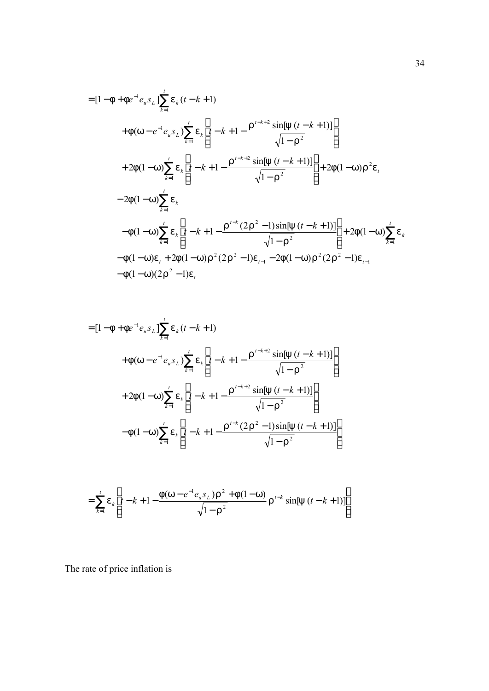$$
= [1 - f + fe^{-1}e_{u}s_{L}] \sum_{k=1}^{t} e_{k}(t-k+1)
$$
  
+  $f(w - e^{-1}e_{u}s_{L}) \sum_{k=1}^{t} e_{k} \left[ t - k + 1 - \frac{r^{t-k+2} \sin[y(t-k+1)]}{\sqrt{1-r^{2}}} \right]$   
+  $2f(1-w) \sum_{k=1}^{t} e_{k} \left[ t - k + 1 - \frac{r^{t-k+2} \sin[y(t-k+1)]}{\sqrt{1-r^{2}}} \right] + 2f(1-w)r^{2}e_{t}$   
-  $2f(1-w) \sum_{k=1}^{t} e_{k}$   
-  $f(1-w) \sum_{k=1}^{t} e_{k} \left[ t - k + 1 - \frac{r^{t-k}(2r^{2} - 1) \sin[y(t-k+1)]}{\sqrt{1-r^{2}}} \right] + 2f(1-w) \sum_{k=1}^{t} e_{k}$   
-  $f(1-w)e_{t} + 2f(1-w)r^{2}(2r^{2} - 1)e_{t-1} - 2f(1-w)r^{2}(2r^{2} - 1)e_{t-1}$   
-  $f(1-w)(2r^{2} - 1)e_{t}$ 

$$
= [1 - f + fe^{-1}e_{u}s_{L}] \sum_{k=1}^{t} e_{k}(t - k + 1)
$$
  
+  $f(w - e^{-1}e_{u}s_{L}) \sum_{k=1}^{t} e_{k} \left[ t - k + 1 - \frac{r^{t-k+2} \sin[y(t - k + 1)]}{\sqrt{1 - r^{2}}} \right]$   
+  $2f(1-w) \sum_{k=1}^{t} e_{k} \left[ t - k + 1 - \frac{r^{t-k+2} \sin[y(t - k + 1)]}{\sqrt{1 - r^{2}}} \right]$   
-  $f(1-w) \sum_{k=1}^{t} e_{k} \left[ t - k + 1 - \frac{r^{t-k} (2r^{2} - 1) \sin[y(t - k + 1)]}{\sqrt{1 - r^{2}}} \right]$ 

$$
= \sum_{k=1}^{t} e_k \left[ t - k + 1 - \frac{f(w - e^{-1}e_u s_L) r^2 + f(1 - w)}{\sqrt{1 - r^2}} r^{t-k} \sin[y (t - k + 1)] \right]
$$

The rate of price inflation is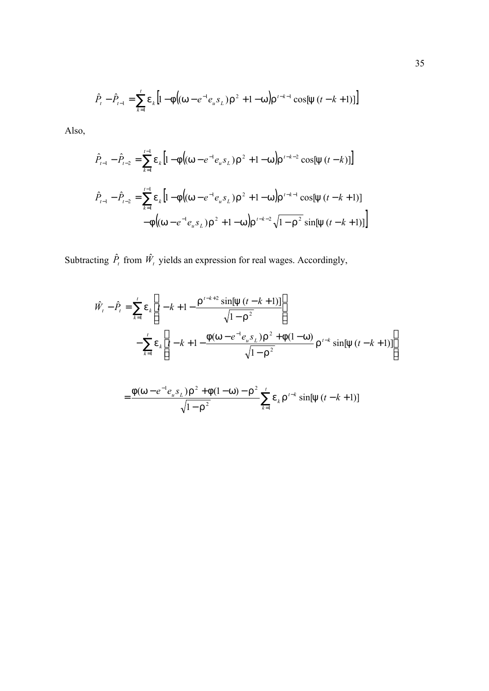$$
\hat{P}_t - \hat{P}_{t-1} = \sum_{k=1}^t \mathbf{e}_k \left[ 1 - \mathbf{f} \left( (\mathbf{W} - e^{-1} e_u s_L) \mathbf{r}^2 + 1 - \mathbf{W} \right) \mathbf{r}^{t-k-1} \cos[\mathbf{y} \left( t - k + 1 \right)] \right]
$$

Also,

$$
\hat{P}_{t-1} - \hat{P}_{t-2} = \sum_{k=1}^{t-1} e_k \left[ 1 - f \left( (w - e^{-1} e_u s_L) r^2 + 1 - w \right) r^{t-k-2} \cos[y(t-k)] \right]
$$
\n
$$
\hat{P}_{t-1} - \hat{P}_{t-2} = \sum_{k=1}^{t-1} e_k \left[ 1 - f \left( (w - e^{-1} e_u s_L) r^2 + 1 - w \right) r^{t-k-1} \cos[y(t-k+1)] - f \left( (w - e^{-1} e_u s_L) r^2 + 1 - w \right) r^{t-k-2} \sqrt{1 - r^2} \sin[y(t-k+1)] \right]
$$

Subtracting  $\hat{P}_t$  from  $\hat{W}_t$  yields an expression for real wages. Accordingly,

$$
\hat{W}_t - \hat{P}_t = \sum_{k=1}^t e_k \left[ t - k + 1 - \frac{r^{t-k+2} \sin[y(t-k+1)]}{\sqrt{1 - r^2}} \right]
$$

$$
- \sum_{k=1}^t e_k \left[ t - k + 1 - \frac{f(w - e^{-1}e_u s_L) r^2 + f(1 - w)}{\sqrt{1 - r^2}} r^{t-k} \sin[y(t-k+1)] \right]
$$

$$
= \frac{f(w - e^{-1}e_u s_L)r^2 + f(1 - w) - r^2}{\sqrt{1 - r^2}} \sum_{k=1}^t e_k r^{t-k} \sin[y(t - k + 1)]
$$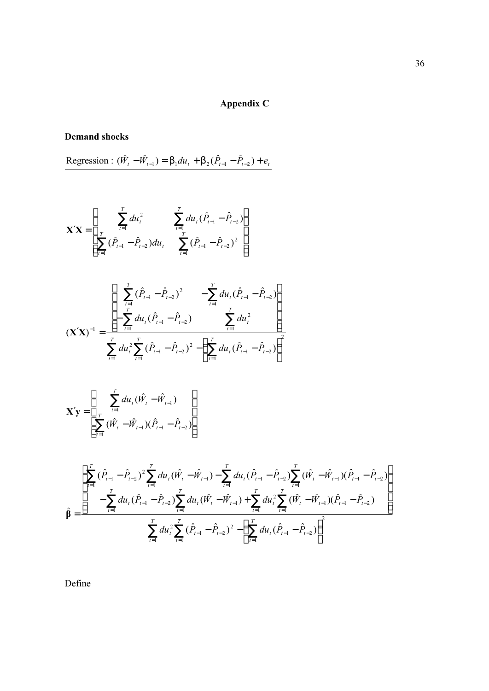# **Appendix C**

# **Demand shocks**

 $\text{Regression}: (\hat{W}_t - \hat{W}_{t-1}) = b_1 du_t + b_2 (\hat{P}_{t-1} - \hat{P}_{t-2}) + e_t$ 

$$
\mathbf{X'X} = \begin{bmatrix} \sum_{t=1}^{T} du_t^2 & \sum_{t=1}^{T} du_t (\hat{P}_{t-1} - \hat{P}_{t-2}) \\ \sum_{t=1}^{T} (\hat{P}_{t-1} - \hat{P}_{t-2}) du_t & \sum_{t=1}^{T} (\hat{P}_{t-1} - \hat{P}_{t-2})^2 \end{bmatrix}
$$

$$
\left(\mathbf{X'X}\right)^{-1} = \frac{\left[\sum_{t=1}^{T} (\hat{P}_{t-1} - \hat{P}_{t-2})^2 - \sum_{t=1}^{T} du_t (\hat{P}_{t-1} - \hat{P}_{t-2})\right]}{\sum_{t=1}^{T} du_t (\hat{P}_{t-1} - \hat{P}_{t-2}) - \sum_{t=1}^{T} du_t^2}
$$
\n
$$
\left(\mathbf{X'X}\right)^{-1} = \frac{\sum_{t=1}^{T} du_t (\hat{P}_{t-1} - \hat{P}_{t-2})^2 - \left(\sum_{t=1}^{T} du_t (\hat{P}_{t-1} - \hat{P}_{t-2})\right)^2}{\sum_{t=1}^{T} du_t^2 (\hat{P}_{t-1} - \hat{P}_{t-2})}
$$

$$
\mathbf{X'y} = \left[ \begin{array}{c} \sum_{t=1}^{T} du_t (\hat{W}_t - \hat{W}_{t-1}) \\ \sum_{t=1}^{T} (\hat{W}_t - \hat{W}_{t-1}) (\hat{P}_{t-1} - \hat{P}_{t-2}) \end{array} \right]
$$

$$
\hat{\beta} = \frac{\left[\sum_{t=1}^{T} (\hat{P}_{t-1} - \hat{P}_{t-2})^2 \sum_{t=1}^{T} du_t (\hat{W}_t - \hat{W}_{t-1}) - \sum_{t=1}^{T} du_t (\hat{P}_{t-1} - \hat{P}_{t-2}) \sum_{t=1}^{T} (\hat{W}_t - \hat{W}_{t-1}) (\hat{P}_{t-1} - \hat{P}_{t-2}) \right]}{-\sum_{t=1}^{T} du_t (\hat{P}_{t-1} - \hat{P}_{t-2}) \sum_{t=1}^{T} du_t (\hat{W}_t - \hat{W}_{t-1}) + \sum_{t=1}^{T} du_t^2 \sum_{t=1}^{T} (\hat{W}_t - \hat{W}_{t-1}) (\hat{P}_{t-1} - \hat{P}_{t-2})}{\sum_{t=1}^{T} du_t^2 \sum_{t=1}^{T} (\hat{P}_{t-1} - \hat{P}_{t-2})^2 - \left(\sum_{t=1}^{T} du_t (\hat{P}_{t-1} - \hat{P}_{t-2})\right)^2}
$$

Define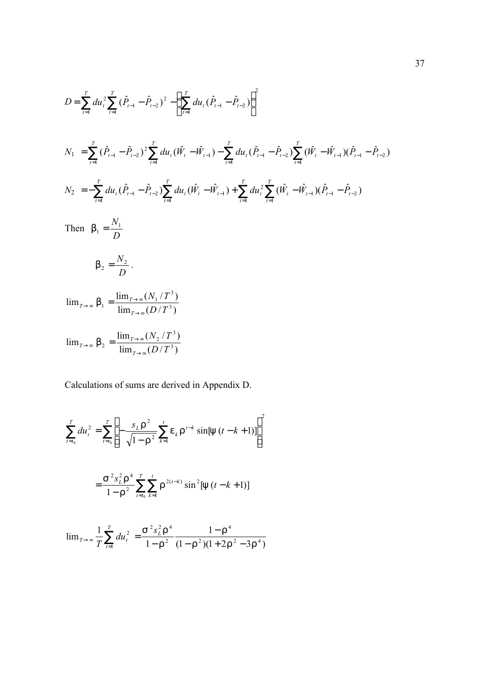$$
D = \sum_{t=1}^{T} du_{t}^{2} \sum_{t=1}^{T} (\hat{P}_{t-1} - \hat{P}_{t-2})^{2} - \left(\sum_{t=1}^{T} du_{t} (\hat{P}_{t-1} - \hat{P}_{t-2})\right)^{2}
$$
  
\n
$$
N_{1} = \sum_{t=1}^{T} (\hat{P}_{t-1} - \hat{P}_{t-2})^{2} \sum_{t=1}^{T} du_{t} (\hat{W}_{t} - \hat{W}_{t-1}) - \sum_{t=1}^{T} du_{t} (\hat{P}_{t-1} - \hat{P}_{t-2}) \sum_{t=1}^{T} (\hat{W}_{t} - \hat{W}_{t-1}) (\hat{P}_{t-1} - \hat{P}_{t-2})
$$
  
\n
$$
N_{2} = -\sum_{t=1}^{T} du_{t} (\hat{P}_{t-1} - \hat{P}_{t-2}) \sum_{t=1}^{T} du_{t} (\hat{W}_{t} - \hat{W}_{t-1}) + \sum_{t=1}^{T} du_{t}^{2} \sum_{t=1}^{T} (\hat{W}_{t} - \hat{W}_{t-1}) (\hat{P}_{t-1} - \hat{P}_{t-2})
$$
  
\nThen  $b_{1} = \frac{N_{1}}{D}$   
\n
$$
b_{2} = \frac{N_{2}}{D}.
$$
  
\n
$$
\lim_{T \to \infty} b_{1} = \frac{\lim_{T \to \infty} (N_{1}/T^{3})}{\lim_{T \to \infty} (D/T^{3})}
$$

$$
\lim_{T \to \infty} b_2 = \frac{\lim_{T \to \infty} (N_2/T^3)}{\lim_{T \to \infty} (D/T^3)}
$$

Calculations of sums are derived in Appendix D.

$$
\sum_{t=t_0}^{T} du_t^2 = \sum_{t=t_0}^{T} \left[ -\frac{s_L r^2}{\sqrt{1 - r^2}} \sum_{k=1}^{t} e_k r^{t-k} \sin[y (t - k + 1)] \right]^2
$$
  
= 
$$
\frac{S^2 s_L^2 r^4}{1 - r^2} \sum_{t=t_0}^{T} \sum_{k=1}^{t} r^{2(t-k)} \sin^2[y (t - k + 1)]
$$

$$
\lim_{T \to \infty} \frac{1}{T} \sum_{t=1}^{T} du_t^2 = \frac{S^2 s_L^2 r^4}{1 - r^2} \frac{1 - r^4}{(1 - r^2)(1 + 2r^2 - 3r^4)}
$$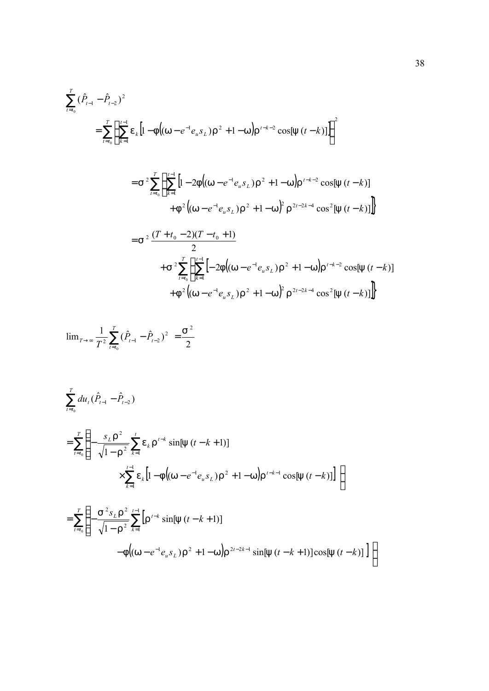$$
\sum_{t=t_0}^{T} (\hat{P}_{t-1} - \hat{P}_{t-2})^2
$$
\n
$$
= \sum_{t=t_0}^{T} \left\{ \sum_{k=1}^{t-1} e_k \left[ 1 - f \left( (w - e^{-1} e_u s_L) r^2 + 1 - w \right) r^{t-k-2} \cos[y(t-k)] \right] \right\}^2
$$
\n
$$
= S^2 \sum_{t=t_0}^{T} \left\{ \sum_{k=1}^{t-1} \left[ 1 - 2f \left( (w - e^{-1} e_u s_L) r^2 + 1 - w \right) r^{t-k-2} \cos[y(t-k)] + f^2 \left( (w - e^{-1} e_u s_L) r^2 + 1 - w \right)^2 r^{2t-2k-4} \cos^2[y(t-k)] \right] \right\}
$$
\n
$$
= S^2 \frac{(T + t_0 - 2)(T - t_0 + 1)}{2}
$$
\n
$$
+ S^2 \sum_{t=t_0}^{T} \left\{ \sum_{k=1}^{t-1} \left[ -2f \left( (w - e^{-1} e_u s_L) r^2 + 1 - w \right) r^{t-k-2} \cos[y(t-k)] + f^2 \left( (w - e^{-1} e_u s_L) r^2 + 1 - w \right)^2 r^{2t-2k-4} \cos^2[y(t-k)] \right] \right\}
$$

$$
\lim_{T \to \infty} \frac{1}{T^2} \sum_{t=t_0}^{T} (\hat{P}_{t-1} - \hat{P}_{t-2})^2 = \frac{S^2}{2}
$$

$$
\sum_{t=t_0}^{T} du_t (\hat{P}_{t-1} - \hat{P}_{t-2})
$$
\n
$$
= \sum_{t=t_0}^{T} \left\{ -\frac{s_L r^2}{\sqrt{1 - r^2}} \sum_{k=1}^{t} e_k r^{t-k} \sin[y (t - k + 1)] \right\}
$$
\n
$$
\times \sum_{k=1}^{t-1} e_k [1 - f((w - e^{-1}e_u s_L) r^2 + 1 - w) r^{t-k-1} \cos[y (t - k)]] \right\}
$$
\n
$$
= \sum_{t=t_0}^{T} \left\{ -\frac{s^2 s_L r^2}{\sqrt{1 - r^2}} \sum_{k=1}^{t-1} \left[ r^{t-k} \sin[y (t - k + 1)] - f((w - e^{-1}e_u s_L) r^2 + 1 - w) r^{2t-2k-1} \sin[y (t - k + 1)] \cos[y (t - k)] \right] \right\}
$$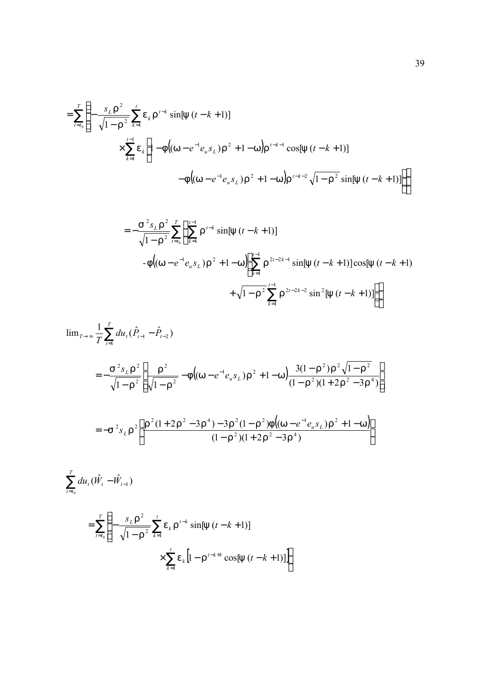$$
= \sum_{t=t_0}^{T} \left\{ -\frac{s_L r^2}{\sqrt{1 - r^2}} \sum_{k=1}^{t} e_k r^{t-k} \sin[y (t - k + 1)] \right\}
$$
  
 
$$
\times \sum_{k=1}^{t-1} e_k \left[ 1 - f \left( (w - e^{-1} e_u s_L) r^2 + 1 - w \right) r^{t-k-1} \cos[y (t - k + 1)] - f \left( (w - e^{-1} e_u s_L) r^2 + 1 - w \right) r^{t-k-2} \sqrt{1 - r^2} \sin[y (t - k + 1)] \right] \right\}
$$

$$
= -\frac{S^{2} s_{L} r^{2}}{\sqrt{1 - r^{2}}} \sum_{t=t_{0}}^{T} \left\{ \sum_{k=1}^{t-1} r^{t-k} \sin[y (t-k+1)] - f\left((w - e^{-1} e_{u} s_{L}) r^{2} + 1 - w \right) \sum_{k=1}^{t-1} r^{2t-2k-1} \sin[y (t-k+1)] \cos[y (t-k+1)] + \sqrt{1 - r^{2}} \sum_{k=1}^{t-1} r^{2t-2k-2} \sin^{2}[y (t-k+1)] \right\}
$$

$$
\lim_{T \to \infty} \frac{1}{T} \sum_{t=1}^{T} du_t (\hat{P}_{t-1} - \hat{P}_{t-2})
$$
\n
$$
= -\frac{S^2 s_L r^2}{\sqrt{1 - r^2}} \left[ \frac{r^2}{\sqrt{1 - r^2}} - f \left( (w - e^{-1} e_u s_L) r^2 + 1 - w \right) \frac{3(1 - r^2) r^2 \sqrt{1 - r^2}}{(1 - r^2)(1 + 2r^2 - 3r^4)} \right]
$$
\n
$$
= -S^2 s_L r^2 \left[ \frac{r^2 (1 + 2r^2 - 3r^4) - 3r^2 (1 - r^2) f \left( (w - e^{-1} e_u s_L) r^2 + 1 - w \right)}{(1 - r^2)(1 + 2r^2 - 3r^4)} \right]
$$
\n
$$
\sum_{t=t_0}^{T} du_t (\hat{W}_t - \hat{W}_{t-1})
$$

$$
= \sum_{t=t_0}^{T} \left\{ -\frac{s_L r^2}{\sqrt{1 - r^2}} \sum_{k=1}^{t} e_k r^{t-k} \sin[y(t-k+1)] + \sum_{k=1}^{t} e_k [1 - r^{t-k+1} \cos[y(t-k+1)]] \right\}
$$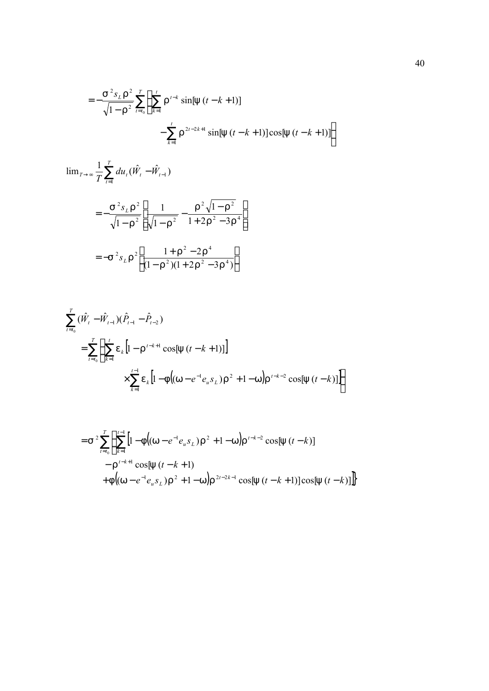$$
= -\frac{S^{2} s_L r^{2}}{\sqrt{1-r^{2}}} \sum_{t=t_0}^{T} \left\{ \sum_{k=1}^{t} r^{t-k} \sin[y(t-k+1)] - \sum_{k=1}^{t} r^{2t-2k+1} \sin[y(t-k+1)] \cos[y(t-k+1)] \right\}
$$

$$
\lim_{T \to \infty} \frac{1}{T} \sum_{t=1}^{T} du_t (\hat{W}_t - \hat{W}_{t-1})
$$
\n
$$
= -\frac{S^2 s_L r^2}{\sqrt{1 - r^2}} \left[ \frac{1}{\sqrt{1 - r^2}} - \frac{r^2 \sqrt{1 - r^2}}{1 + 2r^2 - 3r^4} \right]
$$
\n
$$
= -S^2 s_L r^2 \left[ \frac{1 + r^2 - 2r^4}{(1 - r^2)(1 + 2r^2 - 3r^4)} \right]
$$

$$
\sum_{t=t_0}^{T} (\hat{W}_t - \hat{W}_{t-1})(\hat{P}_{t-1} - \hat{P}_{t-2})
$$
\n
$$
= \sum_{t=t_0}^{T} \left\{ \sum_{k=1}^{t} e_k \left[ 1 - \Gamma^{t-k+1} \cos[y(t-k+1)] \right] \right\}
$$
\n
$$
\times \sum_{k=1}^{t-1} e_k \left[ 1 - \Gamma \left[ (w - e^{-1} e_u s_L) \Gamma^2 + 1 - w \right] \right]^{t-k-2} \cos[y(t-k)] \right\}
$$

$$
=S^{2}\sum_{t=t_{0}}^{T}\left\{\sum_{k=1}^{t-1}\left[1-f\left((w-e^{-1}e_{u}s_{L})r^{2}+1-w\right)r^{t-k-2}\cos[y(t-k)]\right.\right.-r^{t-k+1}\cos[y(t-k+1)+f\left((w-e^{-1}e_{u}s_{L})r^{2}+1-w\right)r^{2t-2k-1}\cos[y(t-k+1)]\cos[y(t-k)]\right\}
$$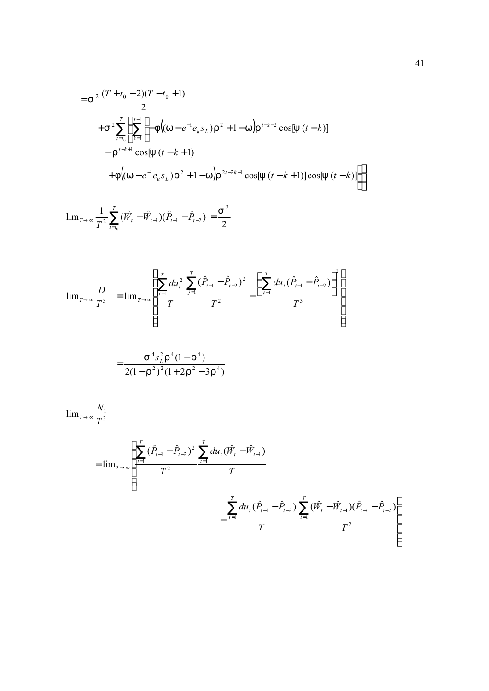$$
=s^{2}\frac{(T+t_{0}-2)(T-t_{0}+1)}{2}
$$
  
+
$$
s^{2}\sum_{t=t_{0}}^{T}\left\{\sum_{k=1}^{t-1}\left[-f\left((w-e^{-1}e_{u}s_{L})r^{2}+1-w\right)r^{t-k-2}\cos[y(t-k)]\right.\right.-r^{t-k+1}\cos[y(t-k+1)+f\left((w-e^{-1}e_{u}s_{L})r^{2}+1-w\right)r^{2t-2k-1}\cos[y(t-k+1)]\cos[y(t-k)]\right\}
$$

$$
\lim_{T \to \infty} \frac{1}{T^2} \sum_{t=t_0}^{T} (\hat{W}_t - \hat{W}_{t-1})(\hat{P}_{t-1} - \hat{P}_{t-2}) = \frac{S^2}{2}
$$

$$
\lim_{T \to \infty} \frac{D}{T^3} = \lim_{T \to \infty} \left[ \frac{\sum_{t=1}^{T} du_t^2}{T} \frac{\sum_{j=1}^{T} (\hat{P}_{t-1} - \hat{P}_{t-2})^2}{T^2} - \frac{\left(\sum_{t=1}^{T} du_t (\hat{P}_{t-1} - \hat{P}_{t-2})\right)^2}{T^3} \right]
$$

$$
=\frac{S^4s_L^2\Gamma^4(1-\Gamma^4)}{2(1-\Gamma^2)^2(1+2\Gamma^2-3\Gamma^4)}
$$

$$
\lim_{T \to \infty} \frac{N_1}{T^3}
$$
\n
$$
= \lim_{T \to \infty} \left[ \frac{\sum_{t=1}^{T} (\hat{P}_{t-1} - \hat{P}_{t-2})^2 \sum_{t=1}^{T} du_t (\hat{W}_t - \hat{W}_{t-1})}{T^2} - \frac{\sum_{t=1}^{T} du_t (\hat{P}_{t-1} - \hat{P}_{t-2}) \sum_{t=1}^{T} (\hat{W}_t - \hat{W}_{t-1}) (\hat{P}_{t-1} - \hat{P}_{t-2})}{T} \right]
$$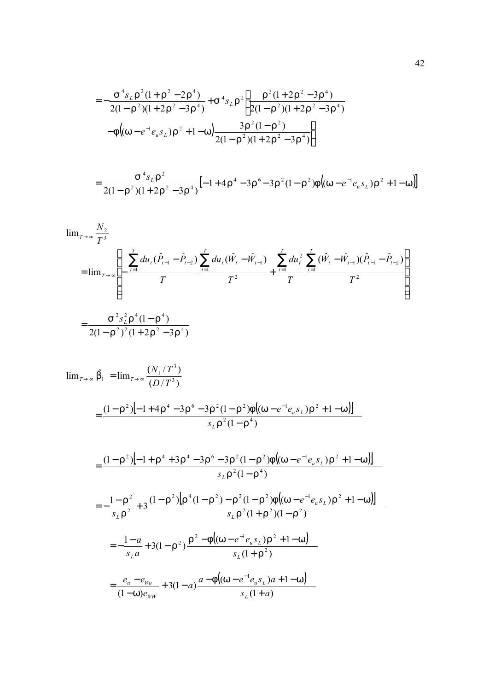$$
= -\frac{S^4 s_L r^2 (1 + r^2 - 2r^4)}{2(1 - r^2)(1 + 2r^2 - 3r^4)} + S^4 s_L r^2 \left[ \frac{r^2 (1 + 2r^2 - 3r^4)}{2(1 - r^2)(1 + 2r^2 - 3r^4)} - f\left((w - e^{-1}e_u s_L)r^2 + 1 - w\right) \frac{3r^2 (1 - r^2)}{2(1 - r^2)(1 + 2r^2 - 3r^4)} \right]
$$

$$
=\frac{S^{4} s_{L} r^{2}}{2(1-r^{2})(1+2r^{2}-3r^{4})}\left[-1+4r^{4}-3r^{6}-3r^{2}(1-r^{2})f\left((w-e^{-1} e_{u} s_{L})r^{2}+1-w\right)\right]
$$

$$
\lim_{T \to \infty} \frac{N_2}{T^3}
$$
\n
$$
= \lim_{T \to \infty} \left[ -\frac{\sum_{t=1}^{T} du_t (\hat{P}_{t-1} - \hat{P}_{t-2})}{T} \sum_{t=1}^{T} du_t (\hat{W}_t - \hat{W}_{t-1}) + \frac{\sum_{t=1}^{T} du_t^2}{T} \sum_{t=1}^{T} (\hat{W}_t - \hat{W}_{t-1}) (\hat{P}_{t-1} - \hat{P}_{t-2}) \right]
$$
\n
$$
= \frac{S^2 s_L^2 \Gamma^4 (1 - \Gamma^4)}{2(1 - \Gamma^2)^2 (1 + 2\Gamma^2 - 3\Gamma^4)}
$$

$$
\lim_{T \to \infty} \hat{b}_1 = \lim_{T \to \infty} \frac{(N_1/T^3)}{(D/T^3)}
$$
\n
$$
= \frac{(1 - r^2)\left[-1 + 4r^4 - 3r^6 - 3r^2(1 - r^2)f\left((w - e^{-1}e_{u}s_{L})r^2 + 1 - w\right)\right]}{s_{L}r^2(1 - r^4)}
$$
\n
$$
= \frac{(1 - r^2)\left[-1 + r^4 + 3r^4 - 3r^6 - 3r^2(1 - r^2)f\left((w - e^{-1}e_{u}s_{L})r^2 + 1 - w\right)\right]}{s_{L}r^2(1 - r^4)}
$$
\n
$$
= -\frac{1 - r^2}{s_{L}r^2} + 3\frac{(1 - r^2)\left[r^4(1 - r^2) - r^2(1 - r^2)f\left((w - e^{-1}e_{u}s_{L})r^2 + 1 - w\right)\right]}{s_{L}r^2(1 + r^2)(1 - r^2)}
$$
\n
$$
= -\frac{1 - a}{s_{L}a} + 3(1 - r^2)\frac{r^2 - f\left((w - e^{-1}e_{u}s_{L})r^2 + 1 - w\right)}{s_{L}(1 + r^2)}
$$
\n
$$
= \frac{e_u - e_{w_u}}{(1 - w)e_{ww}} + 3(1 - a)\frac{a - f\left((w - e^{-1}e_{u}s_{L})a + 1 - w\right)}{s_{L}(1 + a)}
$$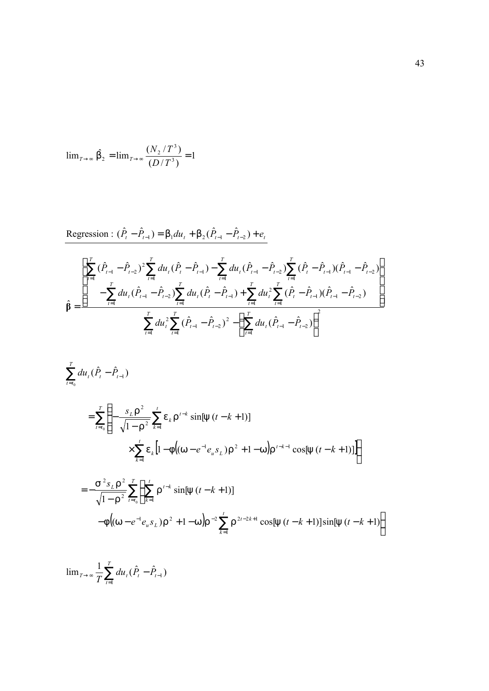$$
\lim_{T \to \infty} \hat{b}_2 = \lim_{T \to \infty} \frac{(N_2/T^3)}{(D/T^3)} = 1
$$

$$
\begin{split}\n\text{Regression: } (\hat{P}_{t} - \hat{P}_{t-1}) &= b_{1} du_{t} + b_{2} (\hat{P}_{t-1} - \hat{P}_{t-2}) + e_{t} \\
\boxed{\sum_{t=1}^{T} (\hat{P}_{t-1} - \hat{P}_{t-2})^{2} \sum_{t=1}^{T} du_{t} (\hat{P}_{t} - \hat{P}_{t-1}) - \sum_{t=1}^{T} du_{t} (\hat{P}_{t-1} - \hat{P}_{t-2}) \sum_{t=1}^{T} (\hat{P}_{t} - \hat{P}_{t-1}) (\hat{P}_{t-1} - \hat{P}_{t-2})}_{\text{f}} \\
\hat{\beta} &= \frac{\sum_{t=1}^{T} du_{t} (\hat{P}_{t-1} - \hat{P}_{t-2}) \sum_{t=1}^{T} du_{t} (\hat{P}_{t} - \hat{P}_{t-1}) + \sum_{t=1}^{T} du_{t}^{2} \sum_{t=1}^{T} (\hat{P}_{t} - \hat{P}_{t-1}) (\hat{P}_{t-1} - \hat{P}_{t-2})}{\sum_{t=1}^{T} du_{t}^{2} \sum_{t=1}^{T} (\hat{P}_{t-1} - \hat{P}_{t-2})^{2} - \left(\sum_{t=1}^{T} du_{t} (\hat{P}_{t-1} - \hat{P}_{t-2})\right)^{2}}\n\end{split}
$$

$$
\sum_{t=t_0}^{T} du_t (\hat{P}_t - \hat{P}_{t-1})
$$
\n
$$
= \sum_{t=t_0}^{T} \left\{ -\frac{s_L r^2}{\sqrt{1 - r^2}} \sum_{k=1}^{t} e_k r^{t-k} \sin[y (t - k + 1)] \right\}
$$
\n
$$
\times \sum_{k=1}^{t} e_k [1 - f((w - e^{-1}e_u s_L) r^2 + 1 - w) r^{t-k-1} \cos[y (t - k + 1)]]
$$
\n
$$
= -\frac{s^2 s_L r^2}{\sqrt{1 - r^2}} \sum_{t=t_0}^{T} \left\{ \sum_{k=1}^{t} r^{t-k} \sin[y (t - k + 1)] - f((w - e^{-1}e_u s_L) r^2 + 1 - w) r^{-2} \sum_{k=1}^{t} r^{2t - 2k + 1} \cos[y (t - k + 1)] \sin[y (t - k + 1)] \right\}
$$

 $\frac{1}{T}\sum_{t=1}^{T} du_{t} (\hat{P}_{t} - \hat{P}_{t-1})$ *t*  $T \rightarrow \infty$   $\frac{1}{T} \sum du_t (\overline{P}_t - \overline{P}_t)$  $\lim_{T \to \infty} \frac{1}{T} \sum_{t=1}^{T} du_t (\hat{P}_t - \hat{P}_{t-1})$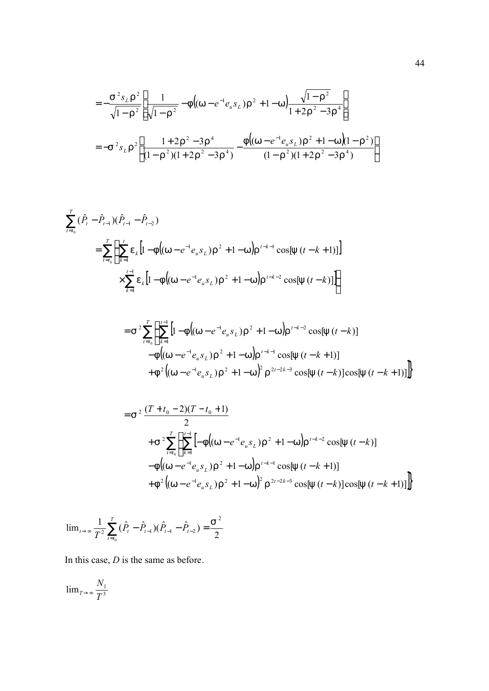$$
= -\frac{S^{2} s_{L} r^{2}}{\sqrt{1 - r^{2}}} \left[ \frac{1}{\sqrt{1 - r^{2}}} - f \left( (w - e^{-1} e_{u} s_{L}) r^{2} + 1 - w \right) \frac{\sqrt{1 - r^{2}}}{1 + 2r^{2} - 3r^{4}} \right]
$$
  
=  $-S^{2} s_{L} r^{2} \left[ \frac{1 + 2r^{2} - 3r^{4}}{(1 - r^{2})(1 + 2r^{2} - 3r^{4})} - \frac{f \left( (w - e^{-1} e_{u} s_{L}) r^{2} + 1 - w \right) (1 - r^{2})}{(1 - r^{2})(1 + 2r^{2} - 3r^{4})} \right]$ 

$$
\sum_{t=t_0}^{T} (\hat{P}_t - \hat{P}_{t-1})(\hat{P}_{t-1} - \hat{P}_{t-2})
$$
\n
$$
= \sum_{t=t_0}^{T} \left\{ \sum_{k=1}^{t} e_k \left[ 1 - f\left( (w - e^{-1}e_u s_L) r^2 + 1 - w \right) r^{t-k-1} \cos[y(t-k+1)] \right] \right. \times \sum_{k=1}^{t-1} e_k \left[ 1 - f\left( (w - e^{-1}e_u s_L) r^2 + 1 - w \right) r^{t-k-2} \cos[y(t-k)] \right] \right\}
$$

$$
=s^{2}\sum_{t=t_{0}}^{T}\left\{\sum_{k=1}^{t-1}\left[1-f\left((w-e^{-1}e_{u}s_{L})r^{2}+1-w\right)r^{t-k-2}\cos[y(t-k)]\right.\right.-f\left((w-e^{-1}e_{u}s_{L})r^{2}+1-w\right)r^{t-k-1}\cos[y(t-k+1)]\right.+f^{2}\left((w-e^{-1}e_{u}s_{L})r^{2}+1-w\right)^{2}r^{2t-2k-3}\cos[y(t-k)]\cos[y(t-k+1)]\right\}
$$

$$
=s^{2}\frac{(T+t_{0}-2)(T-t_{0}+1)}{2}
$$
  
+
$$
s^{2}\sum_{t=t_{0}}^{T}\left\{\sum_{k=1}^{t-1}[-f((w-e^{-1}e_{u}s_{L})r^{2}+1-w)r^{t-k-2}\cos[y(t-k)]
$$
  
-
$$
-f((w-e^{-1}e_{u}s_{L})r^{2}+1-w)r^{t-k-1}\cos[y(t-k+1)]
$$
  
+
$$
f^{2}((w-e^{-1}e_{u}s_{L})r^{2}+1-w)^{2}r^{2t-2k-3}\cos[y(t-k)]\cos[y(t-k+1)]\right\}
$$

$$
\lim_{t \to \infty} \frac{1}{T^2} \sum_{t=t_0}^{T} (\hat{P}_t - \hat{P}_{t-1}) (\hat{P}_{t-1} - \hat{P}_{t-2}) = \frac{S^2}{2}
$$

In this case, *D* is the same as before.

$$
\lim_{T \to \infty} \frac{N_1}{T^3}
$$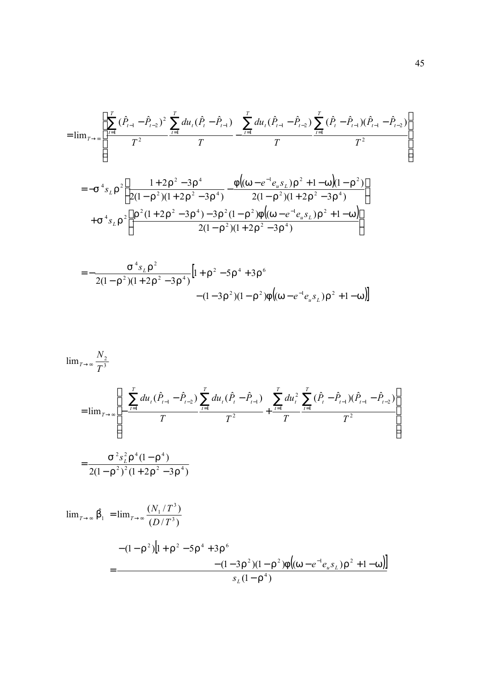$$
= \lim_{T \to \infty} \left[ \frac{\sum_{t=1}^{T} (\hat{P}_{t-1} - \hat{P}_{t-2})^2 \sum_{t=1}^{T} du_t (\hat{P}_{t-1} - \hat{P}_{t-1})}{T^2} - \frac{\sum_{t=1}^{T} du_t (\hat{P}_{t-1} - \hat{P}_{t-2}) \sum_{t=1}^{T} (\hat{P}_{t} - \hat{P}_{t-1}) (\hat{P}_{t-1} - \hat{P}_{t-2})}{T} \right]
$$
  

$$
= -S^4 s_L r^2 \left[ \frac{1 + 2r^2 - 3r^4}{2(1 - r^2)(1 + 2r^2 - 3r^4)} - \frac{f((w - e^{-1}e_{u}s_L)r^2 + 1 - w)(1 - r^2)}{2(1 - r^2)(1 + 2r^2 - 3r^4)} \right]
$$
  

$$
+ S^4 s_L r^2 \left[ \frac{r^2 (1 + 2r^2 - 3r^4) - 3r^2 (1 - r^2) f((w - e^{-1}e_{u}s_L)r^2 + 1 - w)}{2(1 - r^2)(1 + 2r^2 - 3r^4)} \right]
$$

$$
= -\frac{S^4 s_L r^2}{2(1 - r^2)(1 + 2r^2 - 3r^4)} \Big[ 1 + r^2 - 5r^4 + 3r^6 - (1 - 3r^2)(1 - r^2)f\Big((w - e^{-1}e_u s_L)r^2 + 1 - w\Big) \Big]
$$

$$
\lim_{T \to \infty} \frac{N_2}{T^3}
$$
\n
$$
= \lim_{T \to \infty} \left[ -\frac{\sum_{t=1}^{T} du_t (\hat{P}_{t-1} - \hat{P}_{t-2})}{T} \sum_{t=1}^{T} du_t (\hat{P}_t - \hat{P}_{t-1})}{T^2} + \frac{\sum_{t=1}^{T} du_t^2}{T} \sum_{t=1}^{T} (\hat{P}_t - \hat{P}_{t-1}) (\hat{P}_{t-1} - \hat{P}_{t-2})}{T^2} \right]
$$
\n
$$
= \frac{S^2 s_L^2 \Gamma^4 (1 - \Gamma^4)}{2(1 - \Gamma^2)^2 (1 + 2\Gamma^2 - 3\Gamma^4)}
$$
\n
$$
\lim_{T \to \infty} \hat{D}_1 = \lim_{T \to \infty} \frac{(N_1/T^3)}{(D/T^3)}
$$
\n
$$
- (1 - \Gamma^2) \left[ 1 + \Gamma^2 - 5\Gamma^4 + 3\Gamma^6 - (1 - 3\Gamma^2)(1 - \Gamma^2) \Gamma \left( (W - e^{-1} e_u s_L) \Gamma^2 + 1 - W \right) \right]
$$
\n
$$
s_L (1 - \Gamma^4)
$$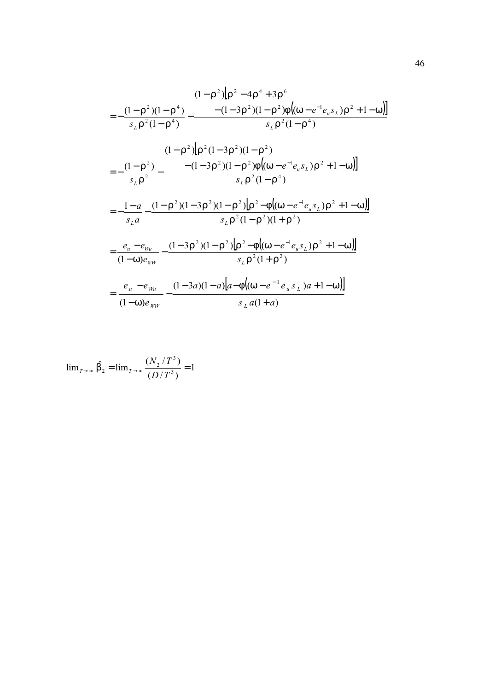$$
(1 - r^{2})\left[r^{2} - 4r^{4} + 3r^{6}\right]
$$
\n
$$
= -\frac{(1 - r^{2})(1 - r^{4})}{s_{L}r^{2}(1 - r^{4})} - \frac{-(1 - 3r^{2})(1 - r^{2})f\left((w - e^{-1}e_{u}s_{L})r^{2} + 1 - w\right)}{s_{L}r^{2}(1 - r^{4})}
$$
\n
$$
(1 - r^{2})\left[r^{2}(1 - 3r^{2})(1 - r^{2})\right]
$$
\n
$$
= -\frac{(1 - r^{2})}{s_{L}r^{2}} - \frac{-(1 - 3r^{2})(1 - r^{2})f\left((w - e^{-1}e_{u}s_{L})r^{2} + 1 - w\right)}{s_{L}r^{2}(1 - r^{4})}
$$
\n
$$
= -\frac{1 - a}{s_{L}a} - \frac{(1 - r^{2})(1 - 3r^{2})(1 - r^{2})\left[r^{2} - f\left((w - e^{-1}e_{u}s_{L})r^{2} + 1 - w\right)\right]}{s_{L}r^{2}(1 - r^{2})(1 + r^{2})}
$$
\n
$$
= \frac{e_{u} - e_{w_{u}}}{(1 - w)e_{ww}} - \frac{(1 - 3r^{2})(1 - r^{2})\left[r^{2} - f\left((w - e^{-1}e_{u}s_{L})r^{2} + 1 - w\right)\right]}{s_{L}r^{2}(1 + r^{2})}
$$
\n
$$
= \frac{e_{u} - e_{w_{u}}}{(1 - w)e_{ww}} - \frac{(1 - 3a)(1 - a)\left[a - f\left((w - e^{-1}e_{u}s_{L})a + 1 - w\right)\right]}{s_{L}a(1 + a)}
$$

$$
\lim_{T \to \infty} \hat{b}_2 = \lim_{T \to \infty} \frac{(N_2/T^3)}{(D/T^3)} = 1
$$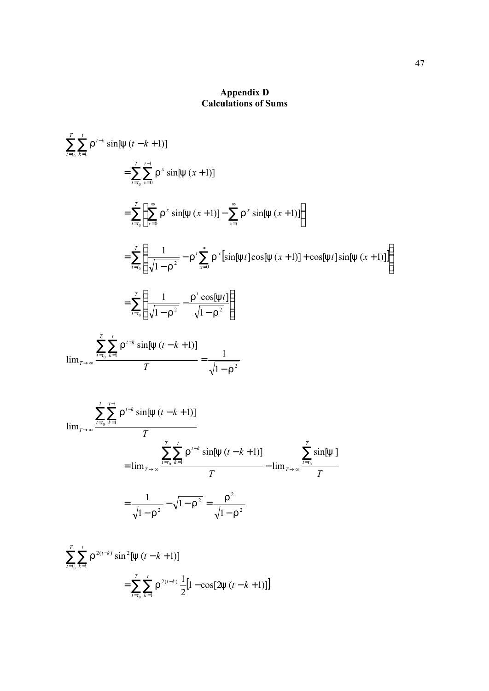## **Appendix D Calculations of Sums**

$$
\sum_{t=t_0}^{T} \sum_{k=1}^{t} r^{t-k} \sin[y (t-k+1)]
$$
\n
$$
= \sum_{t=t_0}^{T} \sum_{s=0}^{t-1} r^{s} \sin[y (x+1)]
$$
\n
$$
= \sum_{t=t_0}^{T} \left\{ \sum_{x=0}^{\infty} r^{x} \sin[y (x+1)] - \sum_{x=t}^{\infty} r^{x} \sin[y (x+1)] \right\}
$$
\n
$$
= \sum_{t=t_0}^{T} \left\{ \frac{1}{\sqrt{1-r^{2}}} - r^{t} \sum_{s=0}^{\infty} r^{x} [\sin[y t] \cos[y (x+1)] + \cos[y t] \sin[y (x+1)]] \right\}
$$
\n
$$
= \sum_{t=t_0}^{T} \left\{ \frac{1}{\sqrt{1-r^{2}}} - \frac{r^{t} \cos[y t]}{\sqrt{1-r^{2}}} \right\}
$$
\n
$$
\lim_{T \to \infty} \frac{\sum_{t=t_0}^{T} \sum_{k=1}^{t} r^{t-k} \sin[y (t-k+1)]}{T} = \frac{1}{\sqrt{1-r^{2}}}
$$
\n
$$
\lim_{T \to \infty} \frac{\sum_{t=t_0}^{T} \sum_{k=1}^{t-1} r^{t-k} \sin[y (t-k+1)]}{T}
$$
\n
$$
= \lim_{T \to \infty} \frac{\sum_{t=t_0}^{T} \sum_{k=1}^{t} r^{t-k} \sin[y (t-k+1)]}{T} - \lim_{T \to \infty} \frac{\sum_{t=t_0}^{T} \sin[y}{T}
$$
\n
$$
= \frac{1}{\sqrt{1-r^{2}}} - \sqrt{1-r^{2}} = \frac{r^{2}}{\sqrt{1-r^{2}}}
$$

$$
\sum_{t=t_0}^{T} \sum_{k=1}^{t} \Gamma^{2(t-k)} \sin^2[y(t-k+1)]
$$
  
= 
$$
\sum_{t=t_0}^{T} \sum_{k=1}^{t} \Gamma^{2(t-k)} \frac{1}{2} [1 - \cos[2y(t-k+1)]]
$$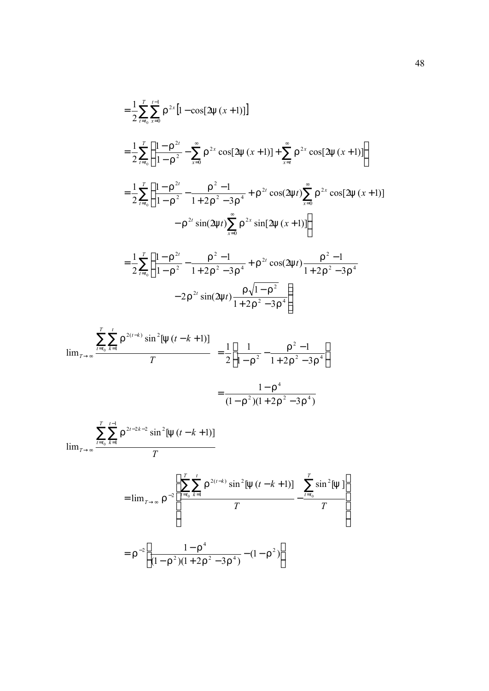$$
= \frac{1}{2} \sum_{t=t_0}^{T} \sum_{x=0}^{t-1} r^{2x} [1 - \cos[2y (x+1)]]
$$
  
\n
$$
= \frac{1}{2} \sum_{t=t_0}^{T} \left\{ \frac{1 - r^{2t}}{1 - r^2} - \sum_{x=0}^{\infty} r^{2x} \cos[2y (x+1)] + \sum_{x=t}^{\infty} r^{2x} \cos[2y (x+1)] \right\}
$$
  
\n
$$
= \frac{1}{2} \sum_{t=t_0}^{T} \left\{ \frac{1 - r^{2t}}{1 - r^2} - \frac{r^2 - 1}{1 + 2r^2 - 3r^4} + r^{2t} \cos(2yt) \sum_{x=0}^{\infty} r^{2x} \cos[2y (x+1)] - r^{2t} \sin(2yt) \sum_{x=0}^{\infty} r^{2x} \sin[2y (x+1)] \right\}
$$
  
\n
$$
= \frac{1}{2} \sum_{t=t_0}^{T} \left\{ \frac{1 - r^{2t}}{1 - r^2} - \frac{r^2 - 1}{1 + 2r^2 - 3r^4} + r^{2t} \cos(2yt) \frac{r^2 - 1}{1 + 2r^2 - 3r^4} - 2r^{2t} \sin(2yt) \frac{r\sqrt{1 - r^2}}{1 + 2r^2 - 3r^4} \right\}
$$

$$
\lim_{T \to \infty} \frac{\sum_{t=t_0}^{T} \sum_{k=1}^{t} r^{2(t-k)} \sin^2[y(t-k+1)]}{T} = \frac{1}{2} \left[ \frac{1}{1 - r^2} - \frac{r^2 - 1}{1 + 2r^2 - 3r^4} \right]
$$

$$
=\frac{1-r^4}{(1-r^2)(1+2r^2-3r^4)}
$$

$$
\lim_{T \to \infty} \frac{\sum_{t=t_0}^{T} \sum_{k=1}^{t-1} \Gamma^{2t-2k-2} \sin^2[y(t-k+1)]}{T}
$$

$$
= \lim_{T \to \infty} r^{-2} \left[ \frac{\sum_{t=t_0}^{T} \sum_{k=1}^{t} r^{2(t-k)} \sin^2[y(t-k+1)]}{T} - \frac{\sum_{t=t_0}^{T} \sin^2[y]}{T} \right]
$$

$$
= r^{-2} \left[ \frac{1 - r^4}{(1 - r^2)(1 + 2r^2 - 3r^4)} - (1 - r^2) \right]
$$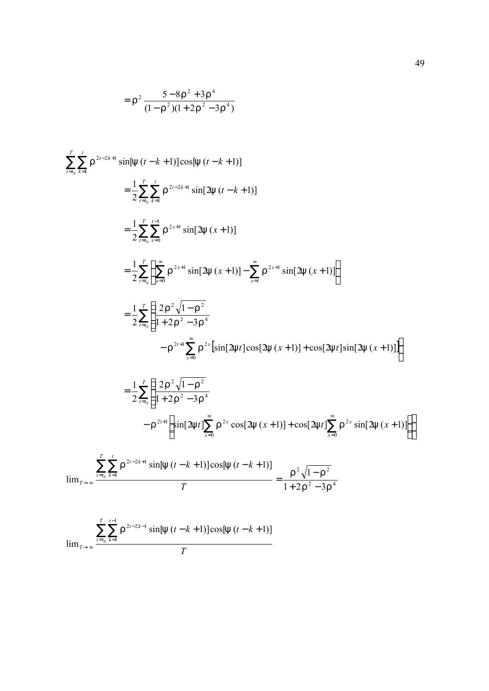$$
= r^2 \frac{5 - 8r^2 + 3r^4}{(1 - r^2)(1 + 2r^2 - 3r^4)}
$$

$$
\sum_{t=t_0}^{T} \sum_{k=1}^{r} r^{2t-2k+1} \sin[y (t-k+1)] \cos[y (t-k+1)]
$$
\n
$$
= \frac{1}{2} \sum_{t=t_0}^{T} \sum_{k=1}^{r} r^{2t-2k+1} \sin[2y (t-k+1)]
$$
\n
$$
= \frac{1}{2} \sum_{t=t_0}^{T} \sum_{k=1}^{r-1} r^{2x+1} \sin[2y (x+1)]
$$
\n
$$
= \frac{1}{2} \sum_{t=t_0}^{T} \left\{ \sum_{x=0}^{\infty} r^{2x+1} \sin[2y (x+1)] - \sum_{x=t}^{\infty} r^{2x+1} \sin[2y (x+1)] \right\}
$$
\n
$$
= \frac{1}{2} \sum_{t=t_0}^{T} \left\{ \frac{2r^2 \sqrt{1-r^2}}{1+2r^2-3r^4} - r^{2x} \left[ \sin[2yt] \cos[2y (x+1)] + \cos[2yt] \sin[2y (x+1)] \right] \right\}
$$
\n
$$
= \frac{1}{2} \sum_{t=t_0}^{T} \left\{ \frac{2r^2 \sqrt{1-r^2}}{1+2r^2-3r^4} - r^{2t+1} \left[ \sin[2yt] \sum_{x=0}^{\infty} r^{2x} \cos[2y (x+1)] + \cos[2yt] \sum_{x=0}^{\infty} r^{2x} \sin[2y (x+1)] \right] \right\}
$$
\n
$$
\lim_{T \to \infty} \frac{\sum_{t=t_0}^{T} \sum_{k=1}^{t} r^{2t-2k+1} \sin[y (t-k+1)] \cos[y (t-k+1)]}{T} = \frac{r^2 \sqrt{1-r^2}}{1+2r^2-3r^4}
$$

$$
\lim_{T \to \infty} \frac{\sum_{t=t_0}^{T} \sum_{k=1}^{t-1} \Gamma^{2t-2k-1} \sin[y(t-k+1)] \cos[y(t-k+1)]}{T}
$$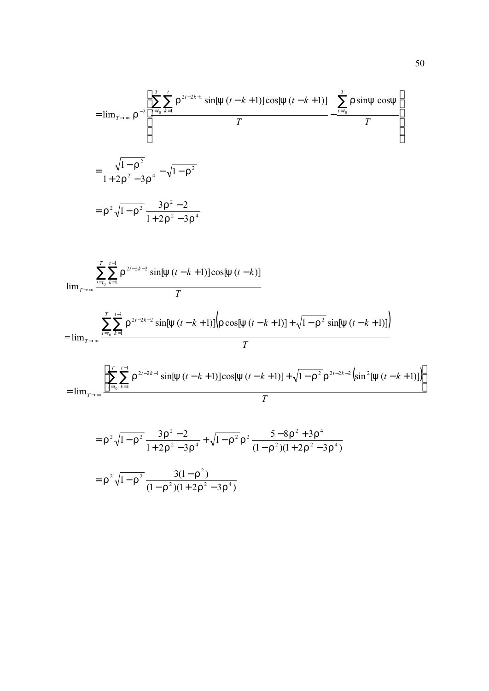$$
= \lim_{T \to \infty} r^{-2} \left[ \frac{\sum_{t=t_0}^{T} \sum_{k=1}^{t} r^{2t-2k+1} \sin[y(t-k+1)] \cos[y(t-k+1)]}{T} - \frac{\sum_{t=t_0}^{T} r \sin[y \cos[y(t-k+1)]}{T} \right]
$$

$$
= \frac{\sqrt{1-r^2}}{1+2r^2-3r^4} - \sqrt{1-r^2}
$$

$$
= r^2 \sqrt{1-r^2} \frac{3r^2-2}{1+2r^2-3r^4}
$$

$$
\lim_{T \to \infty} \frac{\sum_{t=t_0}^{T} \sum_{k=1}^{t-1} \Gamma^{2t-2k-2} \sin[y(t-k+1)] \cos[y(t-k)]}{T}
$$
\n
$$
= \lim_{T \to \infty} \frac{\sum_{t=t_0}^{T} \sum_{k=1}^{t-1} \Gamma^{2t-2k-2} \sin[y(t-k+1)] \left( r \cos[y(t-k+1)] + \sqrt{1-r^2} \sin[y(t-k+1)] \right)}{T}
$$

$$
= \lim_{T \to \infty} \frac{\left[ \sum_{t=t_0}^{T} \sum_{k=1}^{t-1} \Gamma^{2t-2k-1} \sin[y(t-k+1)] \cos[y(t-k+1)] + \sqrt{1-\Gamma^2} \Gamma^{2t-2k-2} \left( \sin^2[y(t-k+1)] \right) \right]}{T}
$$

$$
= r^{2} \sqrt{1 - r^{2}} \frac{3r^{2} - 2}{1 + 2r^{2} - 3r^{4}} + \sqrt{1 - r^{2}} r^{2} \frac{5 - 8r^{2} + 3r^{4}}{(1 - r^{2})(1 + 2r^{2} - 3r^{4})}
$$

$$
= r^{2} \sqrt{1 - r^{2}} \frac{3(1 - r^{2})}{(1 - r^{2})(1 + 2r^{2} - 3r^{4})}
$$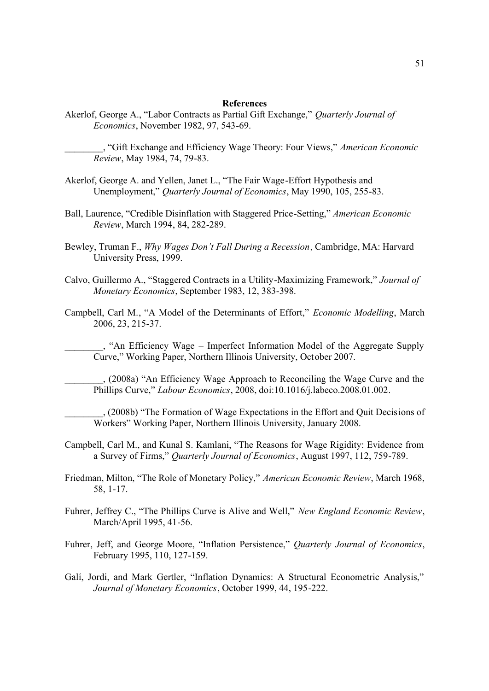#### **References**

Akerlof, George A., "Labor Contracts as Partial Gift Exchange," *Quarterly Journal of Economics*, November 1982, 97, 543-69.

\_\_\_\_\_\_\_\_, "Gift Exchange and Efficiency Wage Theory: Four Views," *American Economic Review*, May 1984, 74, 79-83.

- Akerlof, George A. and Yellen, Janet L., "The Fair Wage-Effort Hypothesis and Unemployment," *Quarterly Journal of Economics*, May 1990, 105, 255-83.
- Ball, Laurence, "Credible Disinflation with Staggered Price-Setting," *American Economic Review*, March 1994, 84, 282-289.
- Bewley, Truman F., *Why Wages Don't Fall During a Recession*, Cambridge, MA: Harvard University Press, 1999.
- Calvo, Guillermo A., "Staggered Contracts in a Utility-Maximizing Framework," *Journal of Monetary Economics*, September 1983, 12, 383-398.
- Campbell, Carl M., "A Model of the Determinants of Effort," *Economic Modelling*, March 2006, 23, 215-37.

\_\_\_\_\_\_\_\_, "An Efficiency Wage – Imperfect Information Model of the Aggregate Supply Curve," Working Paper, Northern Illinois University, October 2007.

\_\_\_\_\_\_\_\_, (2008a) "An Efficiency Wage Approach to Reconciling the Wage Curve and the Phillips Curve," *Labour Economics*, 2008, doi:10.1016/j.labeco.2008.01.002.

\_\_\_\_\_\_\_\_, (2008b) "The Formation of Wage Expectations in the Effort and Quit Decisions of Workers" Working Paper, Northern Illinois University, January 2008.

- Campbell, Carl M., and Kunal S. Kamlani, "The Reasons for Wage Rigidity: Evidence from a Survey of Firms," *Quarterly Journal of Economics*, August 1997, 112, 759-789.
- Friedman, Milton, "The Role of Monetary Policy," *American Economic Review*, March 1968, 58, 1-17.
- Fuhrer, Jeffrey C., "The Phillips Curve is Alive and Well," *New England Economic Review*, March/April 1995, 41-56.
- Fuhrer, Jeff, and George Moore, "Inflation Persistence," *Quarterly Journal of Economics*, February 1995, 110, 127-159.
- Galí, Jordi, and Mark Gertler, "Inflation Dynamics: A Structural Econometric Analysis," *Journal of Monetary Economics*, October 1999, 44, 195-222.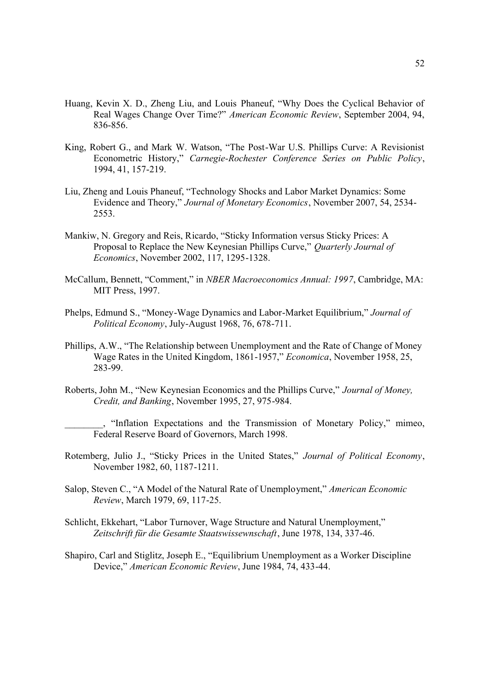- Huang, Kevin X. D., Zheng Liu, and Louis Phaneuf, "Why Does the Cyclical Behavior of Real Wages Change Over Time?" *American Economic Review*, September 2004, 94, 836-856.
- King, Robert G., and Mark W. Watson, "The Post-War U.S. Phillips Curve: A Revisionist Econometric History," *Carnegie-Rochester Conference Series on Public Policy*, 1994, 41, 157-219.
- Liu, Zheng and Louis Phaneuf, "Technology Shocks and Labor Market Dynamics: Some Evidence and Theory," *Journal of Monetary Economics*, November 2007, 54, 2534- 2553.
- Mankiw, N. Gregory and Reis, Ricardo, "Sticky Information versus Sticky Prices: A Proposal to Replace the New Keynesian Phillips Curve," *Quarterly Journal of Economics*, November 2002, 117, 1295-1328.
- McCallum, Bennett, "Comment," in *NBER Macroeconomics Annual: 1997*, Cambridge, MA: MIT Press, 1997.
- Phelps, Edmund S., "Money-Wage Dynamics and Labor-Market Equilibrium," *Journal of Political Economy*, July-August 1968, 76, 678-711.
- Phillips, A.W., "The Relationship between Unemployment and the Rate of Change of Money Wage Rates in the United Kingdom, 1861-1957," *Economica*, November 1958, 25, 283-99.
- Roberts, John M., "New Keynesian Economics and the Phillips Curve," *Journal of Money, Credit, and Banking*, November 1995, 27, 975-984.

\_\_\_\_\_\_\_\_, "Inflation Expectations and the Transmission of Monetary Policy," mimeo, Federal Reserve Board of Governors, March 1998.

- Rotemberg, Julio J., "Sticky Prices in the United States," *Journal of Political Economy*, November 1982, 60, 1187-1211.
- Salop, Steven C., "A Model of the Natural Rate of Unemployment," *American Economic Review*, March 1979, 69, 117-25.
- Schlicht, Ekkehart, "Labor Turnover, Wage Structure and Natural Unemployment," *Zeitschrift für die Gesamte Staatswissewnschaft*, June 1978, 134, 337-46.
- Shapiro, Carl and Stiglitz, Joseph E., "Equilibrium Unemployment as a Worker Discipline Device," *American Economic Review*, June 1984, 74, 433-44.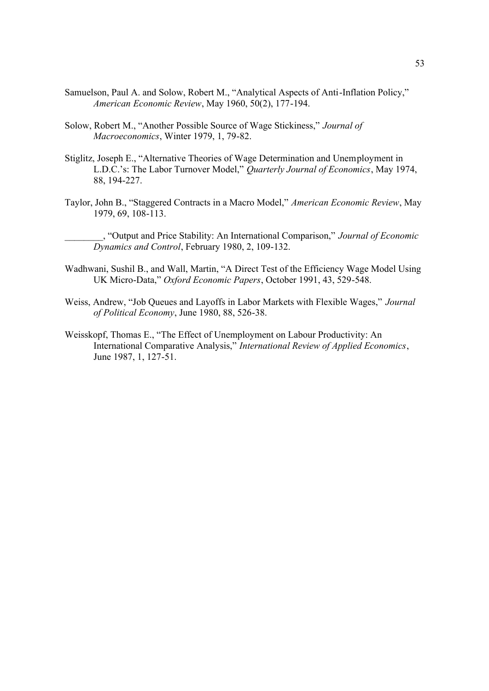- Samuelson, Paul A. and Solow, Robert M., "Analytical Aspects of Anti-Inflation Policy," *American Economic Review*, May 1960, 50(2), 177-194.
- Solow, Robert M., "Another Possible Source of Wage Stickiness," *Journal of Macroeconomics*, Winter 1979, 1, 79-82.
- Stiglitz, Joseph E., "Alternative Theories of Wage Determination and Unemployment in L.D.C.'s: The Labor Turnover Model," *Quarterly Journal of Economics*, May 1974, 88, 194-227.
- Taylor, John B., "Staggered Contracts in a Macro Model," *American Economic Review*, May 1979, 69, 108-113.

\_\_\_\_\_\_\_\_, "Output and Price Stability: An International Comparison," *Journal of Economic Dynamics and Control*, February 1980, 2, 109-132.

- Wadhwani, Sushil B., and Wall, Martin, "A Direct Test of the Efficiency Wage Model Using UK Micro-Data," *Oxford Economic Papers*, October 1991, 43, 529-548.
- Weiss, Andrew, "Job Queues and Layoffs in Labor Markets with Flexible Wages," *Journal of Political Economy*, June 1980, 88, 526-38.
- Weisskopf, Thomas E., "The Effect of Unemployment on Labour Productivity: An International Comparative Analysis," *International Review of Applied Economics*, June 1987, 1, 127-51.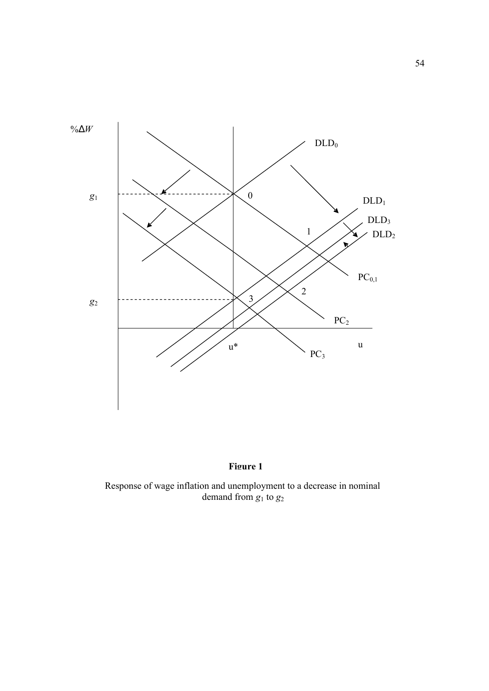



Response of wage inflation and unemployment to a decrease in nominal demand from  $g_1$  to  $g_2$